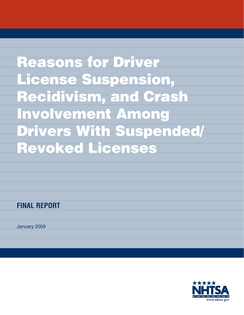Reasons for Driver License Suspension, Recidivism, and Crash Involvement Among Drivers With Suspended/ Revoked Licenses

**FINAL REPORT**

January 2009

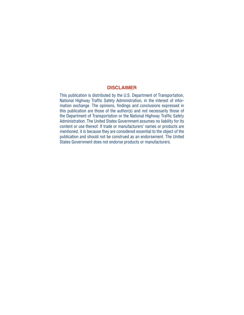#### **DISCLAIMER**

This publication is distributed by the U.S. Department of Transportation, National Highway Traffic Safety Administration, in the interest of information exchange. The opinions, findings and conclusions expressed in this publication are those of the author(s) and not necessarily those of the Department of Transportation or the National Highway Traffic Safety Administration. The United States Government assumes no liability for its content or use thereof. If trade or manufacturers' names or products are mentioned, it is because they are considered essential to the object of the publication and should not be construed as an endorsement. The United States Government does not endorse products or manufacturers.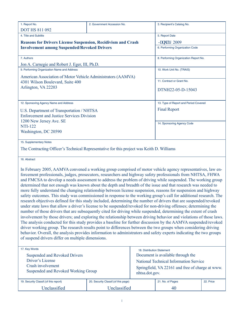| 1. Report No.                                      | 2. Government Accession No.                                                               | 3. Recipient's Catalog No.            |  |  |  |  |  |
|----------------------------------------------------|-------------------------------------------------------------------------------------------|---------------------------------------|--|--|--|--|--|
| <b>DOT HS 811 092</b>                              |                                                                                           |                                       |  |  |  |  |  |
| 4. Title and Subtitle                              |                                                                                           | 5. Report Date                        |  |  |  |  |  |
|                                                    | <b>Reasons for Drivers License Suspension, Recidivism and Crash</b>                       | <b>Lepwet</b> { 2009                  |  |  |  |  |  |
| <b>Involvement among Suspended/Revoked Drivers</b> |                                                                                           | 6. Performing Organization Code       |  |  |  |  |  |
| 7. Authors                                         |                                                                                           | 8. Performing Organization Report No. |  |  |  |  |  |
| Jon A. Carnegie and Robert J. Eger, III, Ph.D.     |                                                                                           |                                       |  |  |  |  |  |
| 9. Performing Organization Name and Address        |                                                                                           | 10. Work Unit No. (TRAIS)             |  |  |  |  |  |
|                                                    | American Association of Motor Vehicle Administrators (AAMVA)                              |                                       |  |  |  |  |  |
| 4301 Wilson Boulevard, Suite 400                   |                                                                                           | 11. Contract or Grant No.             |  |  |  |  |  |
| Arlington, VA 22203                                |                                                                                           | DTNH22-05-D-15043                     |  |  |  |  |  |
| 12. Sponsoring Agency Name and Address             |                                                                                           | 13. Type of Report and Period Covered |  |  |  |  |  |
| U.S. Department of Transportation / NHTSA          |                                                                                           | <b>Final Report</b>                   |  |  |  |  |  |
| <b>Enforcement and Justice Services Division</b>   |                                                                                           |                                       |  |  |  |  |  |
| 1200 New Jersey Ave. SE                            |                                                                                           | 14. Sponsoring Agency Code            |  |  |  |  |  |
| <b>NTI-122</b>                                     |                                                                                           |                                       |  |  |  |  |  |
| Washington, DC 20590                               |                                                                                           |                                       |  |  |  |  |  |
| 15. Supplementary Notes                            |                                                                                           |                                       |  |  |  |  |  |
|                                                    | The Contracting Officer's Technical Representative for this project was Keith D. Williams |                                       |  |  |  |  |  |
|                                                    |                                                                                           |                                       |  |  |  |  |  |

16. Abstract

In February 2005, AAMVA convened a working group comprised of motor vehicle agency representatives, law enforcement professionals, judges, prosecutors, researchers and highway safety professionals from NHTSA, FHWA and FMCSA to develop a needs assessment to address the problem of driving while suspended. The working group determined that not enough was known about the depth and breadth of the issue and that research was needed to more fully understand the changing relationship between license suspension, reasons for suspension and highway safety outcomes. This study was commissioned in response to the working group's call for additional research. The research objectives defined for this study included, determining the number of drivers that are suspended/revoked under state laws that allow a driver's license to be suspended/revoked for non-driving offenses; determining the number of those drivers that are subsequently cited for driving while suspended, determining the extent of crash involvement by those drivers; and exploring the relationship between driving behavior and violations of those laws. The analysis conducted for this study provides a baseline for further discussion by the AAMVA suspended/revoked driver working group. The research results point to differences between the two groups when considering driving behavior. Overall, the analysis provides information to administrators and safety experts indicating the two groups of suspend drivers differ on multiple dimensions.

| 17. Key Words                          |                                      | 18. Distribution Statement                       |                                               |           |  |  |  |  |
|----------------------------------------|--------------------------------------|--------------------------------------------------|-----------------------------------------------|-----------|--|--|--|--|
| Suspended and Revoked Drivers          |                                      | Document is available through the                |                                               |           |  |  |  |  |
| Driver's License                       |                                      |                                                  | <b>National Technical Information Service</b> |           |  |  |  |  |
| Crash involvement                      |                                      | Springfield, VA 22161 and free of charge at www. |                                               |           |  |  |  |  |
| Suspended and Revoked Working Group    |                                      | nhtsa.dot.gov.                                   |                                               |           |  |  |  |  |
|                                        |                                      |                                                  |                                               |           |  |  |  |  |
| 19. Security Classif. (of this report) | 20. Security Classif. (of this page) |                                                  | 21. No. of Pages                              | 22. Price |  |  |  |  |
| Unclassified                           | Unclassified                         |                                                  | 40                                            |           |  |  |  |  |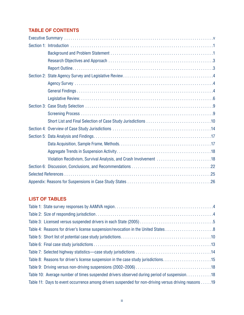## **TABLE OF CONTENTS**

| Violation Recidivism, Survival Analysis, and Crash Involvement 18 |
|-------------------------------------------------------------------|
|                                                                   |
|                                                                   |
|                                                                   |

## **LIST OF TABLES**

| Table 8: Reasons for driver's license suspension in the case study jurisdictions15                   |
|------------------------------------------------------------------------------------------------------|
|                                                                                                      |
| Table 10: Average number of times suspended drivers observed during period of suspension 18          |
| Table 11: Days to event occurrence among drivers suspended for non-driving versus driving reasons 19 |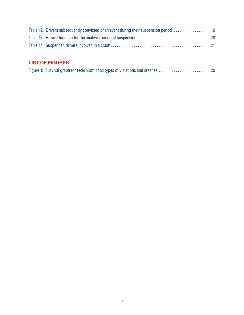| Table 12: Drivers subsequently convicted of an event during their suspension period 19 |  |
|----------------------------------------------------------------------------------------|--|
|                                                                                        |  |
|                                                                                        |  |

## **LIST OF FIGURES**

|  |  | Figure 1: Survival graph for recidivism of all types of violations and crashes 20 |
|--|--|-----------------------------------------------------------------------------------|
|  |  |                                                                                   |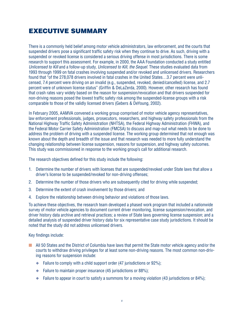# ExEcutivE Summary

There is a commonly held belief among motor vehicle administrators, law enforcement, and the courts that suspended drivers pose a significant traffic safety risk when they continue to drive. As such, driving with a suspended or revoked license is considered a serious driving offense in most jurisdictions. There is some research to support this assessment. For example, in 2000, the AAA Foundation conducted a study entitled *Unlicensed to Kill* and a follow-up study, *Unlicensed to Kill, the Sequel*. These studies evaluated data from 1993 through 1999 on fatal crashes involving suspended and/or revoked and unlicensed drivers. Researchers found that "of the 278,078 drivers involved in fatal crashes in the United States...3.7 percent were unlicensed, 7.4 percent were driving on an invalid (e.g., suspended, revoked, denied/cancelled) license, and 2.7 percent were of unknown license status" (Griffin & DeLaZerda, 2000). However, other research has found that crash rates vary widely based on the reason for suspension/revocation and that drivers suspended for non-driving reasons posed the lowest traffic safety risk among the suspended-license groups with a risk comparable to those of the validly licensed drivers (Gebers & DeYoung, 2002).

In February 2005, AAMVA convened a working group comprised of motor vehicle agency representatives, law enforcement professionals, judges, prosecutors, researchers, and highway safety professionals from the National Highway Traffic Safety Administration (NHTSA), the Federal Highway Administration (FHWA), and the Federal Motor Carrier Safety Administration (FMCSA) to discuss and map-out what needs to be done to address the problem of driving with a suspended license. The working group determined that not enough was known about the depth and breadth of the issue and that research was needed to more fully understand the changing relationship between license suspension, reasons for suspension, and highway safety outcomes. This study was commissioned in response to the working group's call for additional research.

The research objectives defined for this study include the following:

- 1. Determine the number of drivers with licenses that are suspended/revoked under State laws that allow a driver's license to be suspended/revoked for non-driving offenses;
- 2. Determine the number of those drivers who are subsequently cited for driving while suspended;
- 3. Determine the extent of crash involvement by those drivers; and
- 4. Explore the relationship between driving behavior and violations of those laws.

To achieve these objectives, the research team developed a phased work program that included a nationwide survey of motor vehicle agencies to document current driver monitoring, license suspension/revocation, and driver history data archive and retrieval practices; a review of State laws governing license suspension; and a detailed analysis of suspended driver history data for six representative case study jurisdictions. It should be noted that the study did not address unlicensed drivers.

Key findings include:

- All 50 States and the District of Columbia have laws that permit the State motor vehicle agency and/or the courts to withdraw driving privileges for at least some non-driving reasons. The most common non-driving reasons for suspension include:
	- $\bullet$  Failure to comply with a child support order (47 jurisdictions or 92%);
	- $\bullet$  Failure to maintain proper insurance (45 jurisdictions or 88%);
	- $\bullet$  Failure to appear in court to satisfy a summons for a moving violation (43 jurisdictions or 84%);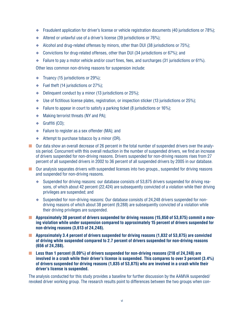- ◆ Fraudulent application for driver's license or vehicle registration documents (40 jurisdictions or 78%);
- $\blacklozenge$  Altered or unlawful use of a driver's license (39 jurisdictions or 76%);
- $\blacklozenge$  Alcohol and drug-related offenses by minors, other than DUI (38 jurisdictions or 75%);
- $\bullet$  Convictions for drug-related offenses, other than DUI (34 jurisdictions or 67%); and
- $\bullet$  Failure to pay a motor vehicle and/or court fines, fees, and surcharges (31 jurisdictions or 61%).

Other less common non-driving reasons for suspension include:

- $\blacklozenge$  Truancy (15 jurisdictions or 29%);
- $\blacklozenge$  Fuel theft (14 jurisdictions or 27%);
- $\bullet$  Delinquent conduct by a minor (13 jurisdictions or 25%);
- $\blacklozenge$  Use of fictitious license plates, registration, or inspection sticker (13 jurisdictions or 25%);
- $\bullet$  Failure to appear in court to satisfy a parking ticket (8 jurisdictions or 16%);
- $\blacklozenge$  Making terrorist threats (NY and PA);
- $\triangleleft$  Graffiti (CO);
- ◆ Failure to register as a sex offender (MA); and
- $\blacklozenge$  Attempt to purchase tobacco by a minor (OR).
- Our data show an overall decrease of 26 percent in the total number of suspended drivers over the analysis period. Concurrent with this overall reduction in the number of suspended drivers, we find an increase of drivers suspended for non-driving reasons. Drivers suspended for non-driving reasons rises from 27 percent of all suspended drivers in 2002 to 36 percent of all suspended drivers by 2005 in our database.
- $\blacksquare$  Our analysis separates drivers with suspended licenses into two groups., suspended for driving reasons and suspended for non-driving reasons.
	- $\blacklozenge$  Suspended for driving reasons: our database consists of 53,875 drivers suspended for driving reasons, of which about 42 percent (22,424) are subsequently convicted of a violation while their driving privileges are suspended; and
	- ◆ Suspended for non-driving reasons: Our database consists of 24,248 drivers suspended for nondriving reasons of which about 38 percent (9,288) are subsequently convicted of a violation while their driving privileges are suspended.
- **Approximately 30 percent of drivers suspended for driving reasons (15,850 of 53,875) commit a moving violation while under suspension compared to approximately 15 percent of drivers suspended for non-driving reasons (3,613 of 24,248).**
- **Approximately 3.4 percent of drivers suspended for driving reasons (1,832 of 53,875) are convicted of driving while suspended compared to 2.7 percent of drivers suspended for non-driving reasons (656 of 24,288).**
- Less than 1 percent (0.09%) of drivers suspended for non-driving reasons (218 of 24,248) are **involved in a crash while their driver's license is suspended. This compares to over 3 percent (3.4%) of drivers suspended for driving reasons (1,835 of 53,875) who are involved in a crash while their driver's license is suspended.**

The analysis conducted for this study provides a baseline for further discussion by the AAMVA suspended/ revoked driver working group. The research results point to differences between the two groups when con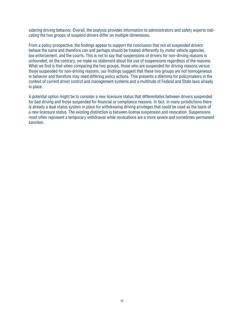sidering driving behavior. Overall, the analysis provides information to administrators and safety experts indicating the two groups of suspend drivers differ on multiple dimensions.

From a policy prospective, the findings appear to support the conclusion that not all suspended drivers behave the same and therefore can and perhaps should be treated differently by motor vehicle agencies, law enforcement, and the courts. This is not to say that suspensions of drivers for non-driving reasons is unfounded; on the contrary, we make no statement about the use of suspensions regardless of the reasons. What we find is that when comparing the two groups, those who are suspended for driving reasons versus those suspended for non-driving reasons, our findings suggest that these two groups are not homogeneous in behavior and therefore may need differing policy actions. This presents a dilemma for policymakers in the context of current drver control and management systems and a multtude of Federal and State laws already in place.

A potential option might be to consider a new licensure status that differentiates between drivers suspended for bad driving and those suspended for financial or compliance reasons. In fact, in many jurisdictions there is already a dual status system in place for withdrawing driving privileges that could be used as the basis of a new licensure status. The existing distinction is between license suspension and revocation. Suspensions most often represent a temporary withdrawal while revocations are a more severe and sometimes permanent sanction.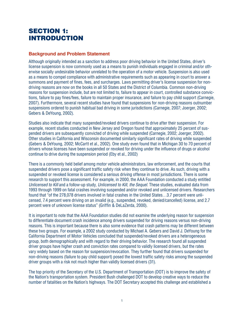# SECTION 1: **INTRODUCTION**

#### **Background and Problem Statement**

Although originally intended as a sanction to address poor driving behavior in the United States, driver's license suspension is now commonly used as a means to punish individuals engaged in criminal and/or otherwise socially undesirable behavior unrelated to the operation of a motor vehicle. Suspension is also used as a means to compel compliance with administrative requirements such as appearing in court to answer a summons and payment of fines, fees, and surcharges. Laws permitting driver's license suspension for nondriving reasons are now on the books in all 50 States and the District of Columbia. Common non-driving reasons for suspension include, but are not limited to, failure to appear in court, controlled substance convictions, failure to pay fines/fees, failure to maintain proper insurance, and failure to pay child support (Carnegie, 2007). Furthermore, several recent studies have found that suspensions for non-driving reasons outnumber suspensions ordered to punish habitual bad driving in some jurisdictions (Carnegie, 2007; Joerger, 2002; Gebers & DeYoung, 2002) .

Studies also indicate that many suspended/revoked drivers continue to drive after their suspension. For example, recent studies conducted in New Jersey and Oregon found that approximately 25 percent of suspended drivers are subsequently convicted of driving while suspended (Carnegie, 2002; Joerger, 2002). Other studies in California and Wisconsin documented similarly significant rates of driving while suspended (Gebers & DeYoung, 2002; McCartt et al., 2002). One study even found that in Michigan 30 to 70 percent of drivers whose licenses have been suspended or revoked for driving under the influence of drugs or alcohol continue to drive during the suspension period (Eby et al., 2002)

There is a commonly held belief among motor vehicle administrators, law enforcement, and the courts that suspended drivers pose a significant traffic safety risk when they continue to drive. As such, driving with a suspended or revoked license is considered a serious driving offense in most jurisdictions. There is some research to support this assessment. For example, in 2000, the AAA Foundation conducted a study entitled *Unlicensed to Kill* and a follow-up study, *Unlicensed to Kill, the Sequel.* These studes, evaluated data from 1993 through 1999 on fatal crashes involving suspended and/or revoked and unlicensed drivers. Researchers found that "of the 278,078 drivers involved in fatal crashes in the United States...3.7 percent were unlicensed, 7.4 percent were driving on an invalid (e.g., suspended, revoked, denied/cancelled) license, and 2.7 percent were of unknown license status" (Griffin & DeLaZerda, 2000).

It is important to note that the AAA Foundation studies did not examine the underlying reason for suspension to differentiate document crash incidence among drivers suspended for driving reasons versus non-driving reasons. This is important because there is also some evidence that crash patterns may be different between these two groups. For example, a 2002 study conducted by Michael A. Gebers and David J. DeYoung for the California Department of Motor Vehicles concluded that suspended/revoked drivers are a heterogeneous group, both demographically and with regard to their driving behavior. The research found all suspended driver groups have higher crash and conviction rates compared to validly licensed drivers, but the rates vary widely based on the reason for suspension/revocation. They further found that drivers suspended for non-driving reasons (failure to pay child support) posed the lowest traffic safety risks among the suspended driver groups with a risk not much higher than validly licensed drivers (31).

The top priority of the Secretary of the U.S. Department of Transportation (DOT) is to improve the safety of the Nation's transportation system. President Bush challenged DOT to develop creative ways to reduce the number of fatalities on the Nation's highways. The DOT Secretary accepted this challenge and established a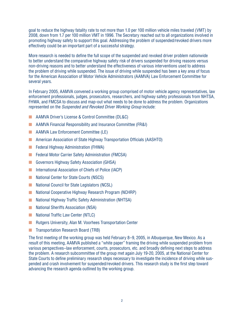goal to reduce the highway fatality rate to not more than 1.0 per 100 million vehicle miles traveled (VMT) by 2008, down from 1.7 per 100 million VMT in 1996. The Secretary reached out to all organizations involved in promoting highway safety to support this goal. Addressing the problem of suspended/revoked drivers more effectively could be an important part of a successful strategy.

More research is needed to define the full scope of the suspended and revoked driver problem nationwide to better understand the comparative highway safety risk of drivers suspended for driving reasons versus non-driving reasons and to better understand the effectiveness of various interventions used to address the problem of driving while suspended. The issue of driving while suspended has been a key area of focus for the American Association of Motor Vehicle Administrators (AAMVA) Law Enforcement Committee for several years.

In February 2005, AAMVA convened a working group comprised of motor vehicle agency representatives, law enforcement professionals, judges, prosecutors, researchers, and highway safety professionals from NHTSA, FHWA, and FMCSA to discuss and map-out what needs to be done to address the problem. Organizations represented on the *Suspended and Revoked Driver Working Group* nclude:

- AAMVA Driver's License & Control Committee (DL&C)
- AAMVA Financial Responsibility and Insurance Committee (FR&I)
- AAMVA Law Enforcement Committee (LE)
- American Association of State Highway Transportation Officials (AASHTO)
- Federal Highway Administration (FHWA)
- Federal Motor Carrier Safety Administration (FMCSA)
- Governors Highway Safety Association (GHSA)
- International Association of Chiefs of Police (IACP)
- National Center for State Courts (NSCS)
- National Council for State Legislators (NCSL)
- National Cooperative Highway Research Program (NCHRP)
- National Highway Traffic Safety Administration (NHTSA)
- National Sheriffs Association (NSA)
- National Traffic Law Center (NTLC)
- Rutgers University, Alan M. Voorhees Transportation Center
- Transportation Research Board (TRB)

The first meeting of the working group was held February 8–9, 2005, in Albuquerque, New Mexico. As a result of this meeting, AAMVA published a "white paper" framing the driving while suspended problem from various perspectives–law enforcement, courts, prosecutors, etc. and broadly defining next steps to address the problem. A research subcommittee of the group met again July 19-20, 2005, at the National Center for State Courts to define preliminary research steps necessary to investigate the incidence of driving while suspended and crash involvement for suspended/revoked drivers. This research study is the first step toward advancing the research agenda outlined by the working group.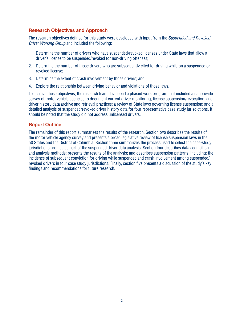## **Research Objectives and Approach**

The research objectives defined for this study were developed with input from the Suspended and Revoked Driver Working Group and included the following:

- 1. Determine the number of drivers who have suspended/revoked licenses under State laws that allow a driver's license to be suspended/revoked for non-driving offenses;
- 2. Determine the number of those drivers who are subsequently cited for driving while on a suspended or revoked license:
- 3. Determine the extent of crash involvement by those drivers; and
- 4. Explore the relationship between driving behavior and violations of those laws.

To achieve these objectives, the research team developed a phased work program that included a nationwide survey of motor vehicle agencies to document current driver monitoring. license suspension/revocation, and driver history data archive and retrieval practices: a review of State laws governing license suspension; and a detailed analysis of suspended/revoked driver history data for four representative case study jurisdictions. It should be noted that the study did not address unlicensed drivers.

#### **Report Outline**

The remainder of this report summarizes the results of the research. Section two describes the results of the motor vehicle agency survey and presents a broad legislative review of license suspension laws in the 50 States and the District of Columbia. Section three summarizes the process used to select the case-study jurisdictions profiled as part of the suspended driver data analysis. Section four describes data acquisition and analysis methods; presents the results of the analysis; and describes suspension patterns, including: the incidence of subsequent conviction for driving while suspended and crash involvement among suspended/ revoked drivers in four case study jurisdictions. Finally, section five presents a discussion of the study's key findings and recommendations for future research.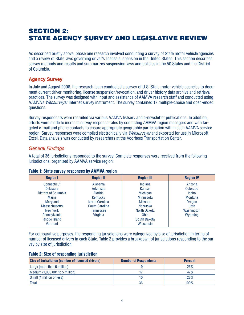# **SECTION 2: STATE AGENCY SURVEY AND LEGISLATIVE REVIEW**

As described briefly above, phase one research involved conducting a survey of State motor vehicle agencies and a review of State laws governing driver's license suspension in the United States. This section describes survey methods and results and summarizes suspension laws and policies in the 50 States and the District of Columbia.

## **Agency Survey**

In July and August 2006, the research team conducted a survey of U.S. State motor vehicle agencies to document current driver monitoring, license suspension/revocation, and driver history data archive and retrieval practices. The survey was designed with input and assistance of AAMVA research staff and conducted using AAMVA's Websurveyer Internet survey instrument. The survey contained 17 multiple-choice and open-ended questions.

Survey respondents were recruited via various AAMVA listsery and e-newsletter publications. In addition, efforts were made to increase survey response rates by contacting AAMVA region managers and with targeted e-mail and phone contacts to ensure appropriate geographic participation within each AAMVA service region. Survey responses were compiled electronically via Websurveyer and exported for use in Microsoft Excel. Data analysis was conducted by researchers at the Voorhees Transportation Center.

## **General Findings**

A total of 36 jurisdictions responded to the survey. Complete responses were received from the following jurisdictions, organized by AAMVA service region:

| <b>Region I</b>      | <b>Region II</b>      | <b>Region III</b> | <b>Region IV</b> |  |  |  |  |
|----------------------|-----------------------|-------------------|------------------|--|--|--|--|
| Connecticut          | Alabama               | Indiana           | Arizona          |  |  |  |  |
| <b>Delaware</b>      | <b>Arkansas</b>       | <b>Kansas</b>     | Colorado         |  |  |  |  |
| District of Columbia | <b>Florida</b>        | Michigan          |                  |  |  |  |  |
| Maine                | Kentucky              | <b>Minnesota</b>  | Montana          |  |  |  |  |
| Maryland             | <b>North Carolina</b> | <b>Missouri</b>   | Oregon           |  |  |  |  |
| <b>Massachusetts</b> | South Carolina        | <b>Nebraska</b>   | Utah             |  |  |  |  |
| New York             | Tennessee             | North Dakota      | Washington       |  |  |  |  |
| Pennsylvania         | Virginia              | <b>Ohio</b>       | Wyoming          |  |  |  |  |
| Rhode Island         |                       | South Dakota      |                  |  |  |  |  |
| Vermont              |                       | Wisconsin         |                  |  |  |  |  |

#### Table 1: State survey responses by AAMVA region

For comparative purposes, the responding jurisdictions were categorized by size of jurisdiction in terms of number of licensed drivers in each State. Table 2 provides a breakdown of jurisdictions responding to the survey by size of jurisdiction.

#### **Table 2: Size of responding jurisdiction**

| Size of Jurisdiction (number of licensed drivers) | <b>Number of Respondents</b> | <b>Percent</b> |
|---------------------------------------------------|------------------------------|----------------|
| Large (more than 5 million)                       |                              | 25%            |
| Medium (1,000,001 to 5 million)                   |                              | 47%            |
| Small (1 million or less)                         | 10                           | 28%            |
| <b>Total</b>                                      | 36                           | 100%           |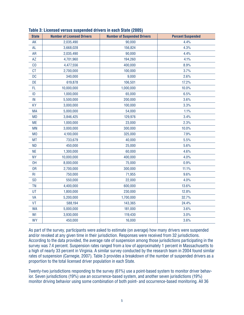| <b>State</b>   | <b>Number of Licensed Drivers</b> | <b>Number of Suspended Drivers</b> | <b>Percent Suspended</b> |
|----------------|-----------------------------------|------------------------------------|--------------------------|
| AK             | 2,035,490                         | 90,000                             | 4.4%                     |
| <b>AL</b>      | 3,668,028                         | 156,824                            | 4.3%                     |
| <b>AR</b>      | 2,035,490                         | 90,000                             | 4.4%                     |
| AZ             | 4,701,960                         | 194,260                            | 4.1%                     |
| CO             | 4,477,556                         | 400,000                            | 8.9%                     |
| CT             | 2,700,000                         | 100,000                            | 3.7%                     |
| DC             | 340,000                           | 9,000                              | 2.6%                     |
| DE             | 619,878                           | 106,501                            | 17.2%                    |
| FL             | 10,000,000                        | 1,000,000                          | 10.0%                    |
| ID             | 1,000,000                         | 65,000                             | 6.5%                     |
| IN             | 5,500,000                         | 200,000                            | 3.6%                     |
| <b>KY</b>      | 3,000,000                         | 100,000                            | 3.3%                     |
| <b>MA</b>      | 5,000,000                         | 54,000                             | 1.1%                     |
| <b>MD</b>      | 3,846,425                         | 129,976                            | 3.4%                     |
| <b>ME</b>      | 1,000,000                         | 23,000                             | 2.3%                     |
| <b>MN</b>      | 3,000,000                         | 300,000                            | 10.0%                    |
| M <sub>0</sub> | 4,100,000                         | 325,000                            | 7.9%                     |
| <b>MT</b>      | 733,679                           | 40,000                             | 5.5%                     |
| <b>ND</b>      | 450,000                           | 25,000                             | 5.6%                     |
| <b>NE</b>      | 1,300,000                         | 60,000                             | 4.6%                     |
| <b>NY</b>      | 10,000,000                        | 400,000                            | 4.0%                     |
| <b>OH</b>      | 8,000,000                         | 75,000                             | 0.9%                     |
| 0R             | 2,700,000                         | 300,000                            | 11.1%                    |
| R <sub>l</sub> | 750,000                           | 71,955                             | 9.6%                     |
| <b>SD</b>      | 550,000                           | 22,000                             | 4.0%                     |
| <b>TN</b>      | 4,400,000                         | 600,000                            | 13.6%                    |
| UT             | 1,800,000                         | 230,000                            | 12.8%                    |
| VA             | 5,200,000                         | 1,700,000                          | 32.7%                    |
| VT             | 588,194                           | 143,365                            | 24.4%                    |
| <b>WA</b>      | 5,000,000                         | 181,000                            | 3.6%                     |
| WI             | 3,930,000                         | 119,430                            | 3.0%                     |
| <b>WY</b>      | 450,000                           | 16,000                             | 3.6%                     |

**Table 3: Licensed versus suspended drivers in each State (2005)**

As part of the survey, participants were asked to estimate (on average) how many drivers were suspended and/or revoked at any given time in their jurisdiction. Responses were received from 32 jurisdictions. According to the data provided, the average rate of suspension among those jurisdictions participating in the survey was 7.4 percent. Suspension rates ranged from a low of approximately 1 percent in Massachusetts to a high of nearly 33 percent in Virginia. A similar survey conducted by the research team in 2004 found similar rates of suspension (Carnegie, 2007). Table 3 provides a breakdown of the number of suspended drivers as a proportion to the total licensed driver population in each State.

Twenty-two jurisdictions responding to the survey (61%) use a point-based system to monitor driver behavior. Seven jurisdictions (19%) use an occurrence-based system, and another seven jurisdictions (19%) monitor driving behavior using some combination of both point- and occurrence-based monitoring. All 36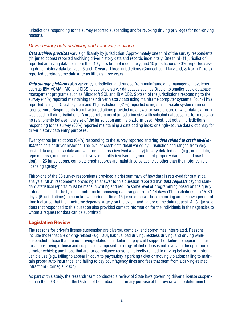jurisdictions responding to the survey reported suspending and/or revoking driving privileges for non-driving reasons.

#### Driver history data archiving and retrieval practices

**Data archival practices** vary significantly by jurisdiction. Approximately one third of the survey respondents (11 jurisdictions) reported archiving driver history data and records indefinitely. One third (11 jurisdiction) reported archiving data for more than 10 years but not indefinitely; and 10 jurisdictions (30%) reported saving driver history data between 5 and 10 years. Three jurisdictions (Connecticut, Maryland, & North Dakota) reported purging some data after as little as three years.

**Data storage platforms** also varied by jurisdiction and ranged from mainframe data management systems such as IBM VSAM, IMS, and CICS to scaleable server databases such as Oracle, to smaller-scale database management programs such as Microsoft SQL and IBM DB2. Sixteen of the jurisdictions responding to the survey (44%) reported maintaining their driver history data using mainframe computer systems. Four (11%) reported using an Oracle system and 11 jurisdictions (31%) reported using smaller-scale systems run on local servers. Respondents from five jurisdictions provided no answer or were unsure of what data platform was used in their jurisdictions. A cross-reference of jurisdiction size with selected database platform revealed no relationship between the size of the jurisdiction and the platform used. Most, but not all, jurisdictions responding to the survey (83%) reported maintaining a data coding index or single-source data dictionary for driver history data entry purposes.

Twenty-three jurisdictions (64%) responding to the survey reported entering *data related to crash involvement* as part of driver histories. The level of crash data detail varied by jurisdiction and ranged from very basic data (e.g., crash date and whether the crash involved a fatality) to very detailed data (e.g., crash date, type of crash, number of vehicles involved, fatality involvement, amount of property damage, and crash location). In 26 jurisdictions, complete crash records are maintained by agencies other than the motor vehicle licensing agency.

Thirty-one of the 36 survey respondents provided a brief summary of how data is retrieved for statistical analysis. All 31 respondents providing an answer to this question reported that *data requests* beyond standard statistical reports must be made in writing and require some level of programming based on the query criteria specified. The typical timeframe for receiving data ranged from 1-14 days (11 jurisdictions), to 15-30 days, (6 jurisdictions) to an unknown period of time (15 jurisdictions). Those reporting an unknown period of time indicated that the timeframe depends largely on the extent and nature of the data request. All 31 jurisdictions that responded to this question also provided contact information for the individuals in their agencies to whom a request for data can be submitted.

## **Legislative Review**

The reasons for driver's license suspension are diverse, complex, and sometimes interrelated. Reasons include those that are driving-related (e.g., DUI, habitual bad driving, reckless driving, and driving while suspended); those that are not driving-related (e.g., failure to pay child support or failure to appear in court for a non-driving offense and suspensions imposed for drug-related offenses not involving the operation of a motor vehicle); and those that are for compliance reasons indirectly related to driving behavior or motor vehicle use (e.g., failing to appear in court to pay/satisfy a parking ticket or moving violation; failing to maintain proper auto insurance; and failing to pay court/agency fines and fees that stem from a driving-related infraction) (Carnegie, 2007).

As part of this study, the research team conducted a review of State laws governing driver's license suspension in the 50 States and the District of Columbia. The primary purpose of the review was to determine the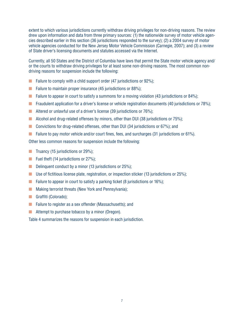extent to which various jurisdictions currently withdraw driving privileges for non-driving reasons. The review drew upon information and data from three primary sources: (1) the nationwide survey of motor vehicle agencies described earlier in this section (36 jurisdictions responded to the survey); (2) a 2004 survey of motor vehicle agencies conducted for the New Jersey Motor Vehicle Commission (Carnegie, 2007); and (3) a review of State driver's licensing documents and statutes accessed via the Internet.

Currently, all 50 States and the District of Columbia have laws that permit the State motor vehicle agency and/ or the courts to withdraw driving privileges for at least some non-driving reasons. The most common nondriving reasons for suspension include the following:

- **E** Failure to comply with a child support order  $(47$  jurisdictions or  $92\%$ ;
- Failure to maintain proper insurance  $(45$  jurisdictions or 88%);
- **Example 1** Failure to appear in court to satisfy a summons for a moving violation (43 jurisdictions or 84%);
- Fraudulent application for a driver's license or vehicle registration documents (40 jurisdictions or 78%);
- **E** Altered or unlawful use of a driver's license (39 jurisdictions or  $76\%$ );
- **E** Alcohol and drug-related offenses by minors, other than DUI (38 jurisdictions or 75%);
- Convictions for drug-related offenses, other than DUI (34 jurisdictions or 67%); and
- Failure to pay motor vehicle and/or court fines, fees, and surcharges (31 jurisdictions or 61%).

Other less common reasons for suspension include the following:

- **The Truancy (15 jurisdictions or 29%);**
- $\blacksquare$  Fuel theft (14 jurisdictions or 27%);
- **Delinquent conduct by a minor (13 jurisdictions or 25%);**
- **■** Use of fictitious license plate, registration, or inspection sticker (13 jurisdictions or 25%);
- **EXECUTE:** Failure to appear in court to satisfy a parking ticket (8 jurisdictions or 16%);
- Making terrorist threats (New York and Pennsylvania);
- $\Box$  Graffiti (Colorado);
- Failure to register as a sex offender (Massachusetts); and
- Attempt to purchase tobacco by a minor (Oregon).

Table 4 summarizes the reasons for suspension in each jurisdiction.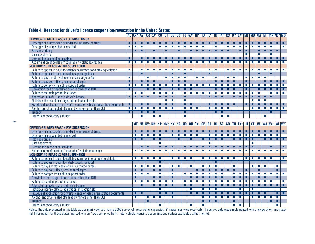|                                                                               |                  | AL AK*   AZ   AR   CA*   CO   CT   DE   DC   FL   GA*   HI*   ID   IL*   IN   IA*   KS   KY   LA*   ME   MD   MA   MI   MN   MS*   MO |                             |                  |                             |                             |                             |                             |                             |                             |                             |                             |                          |                             |                             |                                                                                                                     |                          |                             |                             |                             |                             |                  |                             |                             |                             |                             |
|-------------------------------------------------------------------------------|------------------|---------------------------------------------------------------------------------------------------------------------------------------|-----------------------------|------------------|-----------------------------|-----------------------------|-----------------------------|-----------------------------|-----------------------------|-----------------------------|-----------------------------|-----------------------------|--------------------------|-----------------------------|-----------------------------|---------------------------------------------------------------------------------------------------------------------|--------------------------|-----------------------------|-----------------------------|-----------------------------|-----------------------------|------------------|-----------------------------|-----------------------------|-----------------------------|-----------------------------|
| DRIVING-RELATED REASON FOR SUSPENSION                                         |                  |                                                                                                                                       |                             |                  |                             |                             |                             |                             |                             |                             |                             |                             |                          |                             |                             |                                                                                                                     |                          |                             |                             |                             |                             |                  |                             |                             |                             |                             |
| Driving while intoxicated or under the influence of drugs                     | п                | П                                                                                                                                     | п                           |                  | п                           |                             | п                           |                             | П                           | п                           | П                           |                             | п                        | П                           | п                           | П                                                                                                                   |                          | П                           | П                           | П                           |                             |                  |                             | п                           | п                           | п                           |
| Driving while suspended or revoked                                            | <b>The State</b> | $\sim$                                                                                                                                | $\sim$                      |                  |                             | $\mathcal{L}_{\mathcal{A}}$ | <b>T</b>                    | п                           | <b>CO</b>                   | $\mathcal{L}_{\mathcal{A}}$ | $\sim$                      | п                           | п                        |                             | $\mathcal{L}_{\mathcal{A}}$ |                                                                                                                     | п                        | $\mathcal{L}_{\mathcal{A}}$ | <b>T</b>                    | $\mathcal{L}_{\mathcal{A}}$ | $\blacksquare$              | <b>The State</b> | <b>The State</b>            | $\mathcal{L}_{\mathcal{A}}$ |                             | п                           |
| Reckless driving                                                              |                  |                                                                                                                                       | п                           |                  | п                           |                             | п                           |                             | п                           |                             |                             | п                           | п                        |                             | п                           | п                                                                                                                   | п                        |                             | п                           | п                           |                             | п                |                             | п                           | п                           |                             |
| <b>Careless driving</b>                                                       |                  |                                                                                                                                       |                             |                  |                             |                             |                             |                             |                             |                             |                             |                             |                          |                             |                             |                                                                                                                     |                          |                             |                             | <b>Tale</b>                 |                             | п                |                             | <b>COL</b>                  |                             |                             |
| Leaving the scene of an accident                                              | П                |                                                                                                                                       | П                           | П                | п                           | ▪                           | п                           | п                           | п                           | п                           | п                           |                             | п                        | п                           | п                           | п                                                                                                                   | п                        | п                           | п                           | п                           | п                           | п                | п                           | П                           | ■                           | П                           |
| Accumulation of points or "countable" violations/crashes                      | п                | $\mathcal{L}_{\mathcal{A}}$                                                                                                           | $\mathcal{L}_{\rm{eff}}$    | п                | <b>The State</b>            | $\mathcal{L}_{\mathcal{A}}$ | <b>T</b>                    | п                           | п                           | п                           | П                           | п                           | п                        | п                           | п                           | п                                                                                                                   | п                        | п                           | т                           | П                           | п                           | т                | п                           | п                           | п                           | т                           |
| NON-DRIVING REASONS FOR SUSPENSION                                            |                  |                                                                                                                                       |                             |                  |                             |                             |                             |                             |                             |                             |                             |                             |                          |                             |                             |                                                                                                                     |                          |                             |                             |                             |                             |                  |                             |                             |                             |                             |
| Failure to appear in court to satisfy a summons for a moving violation        | П                |                                                                                                                                       |                             | П                | $\mathcal{L}_{\mathcal{A}}$ | П                           | <b>The State</b>            | П                           | T.                          | $\mathcal{L}_{\mathcal{A}}$ | П                           |                             |                          | $\mathcal{L}_{\mathcal{A}}$ | п                           |                                                                                                                     | П                        | П                           | п                           | П                           | п                           | П                | <b>The</b>                  | п                           | П                           | т                           |
| Failure to appear in court to satisfy a parking ticket                        |                  |                                                                                                                                       | п                           |                  |                             |                             |                             | п                           |                             | п                           |                             |                             |                          | ▪                           |                             |                                                                                                                     |                          |                             |                             |                             |                             | п                |                             | П                           |                             |                             |
| Failure to pay a motor vehicle fine, surcharge or fee                         | ш                |                                                                                                                                       |                             | П                |                             |                             | <b>The State</b>            | <b>COL</b>                  | П                           | п                           |                             | <b>The State</b>            | <b>The State</b>         |                             | <b>COL</b>                  |                                                                                                                     | П                        | п                           |                             | <b>The State</b>            | $\mathcal{L}_{\mathcal{A}}$ | <b>The State</b> | <b>The State</b>            |                             |                             |                             |
| Failure to pay court fines, fees or surcharges                                | П                |                                                                                                                                       |                             | П                | п                           |                             |                             |                             | п                           | П                           |                             |                             |                          |                             | п                           | п                                                                                                                   | п                        | П                           |                             | П                           |                             |                  |                             | п                           | п                           | п                           |
| Failure to comply with a child support order                                  | п                | $\mathcal{L}_{\mathcal{A}}$                                                                                                           | $\mathcal{L}_{\mathcal{A}}$ | <b>The</b>       | П                           | <b>Tale</b>                 | $\mathcal{L}_{\mathcal{A}}$ | $\mathcal{C}^{\mathcal{A}}$ | п                           | п                           | $\sim$                      | $\mathcal{L}_{\mathcal{A}}$ | <b>The State</b>         | $\mathcal{L}_{\mathcal{A}}$ | т                           | п                                                                                                                   | $\overline{\phantom{a}}$ | п                           | $\mathcal{L}_{\mathcal{A}}$ | <b>The State</b>            | $\mathcal{L}_{\mathcal{A}}$ | <b>T</b>         | <b>The State</b>            | $\mathbf{r}$                | п                           | $\sim$                      |
| Conviction for a drug-related offense other than DUI                          | п                |                                                                                                                                       |                             | П                | П                           |                             |                             | п                           | П                           | П                           | П                           |                             |                          |                             | П                           | П                                                                                                                   | п                        | П                           |                             | п                           |                             | П                | п                           |                             | П                           | п                           |
| Failure to maintain proper insurance                                          |                  | $\mathcal{L}_{\mathcal{A}}$                                                                                                           | T.                          |                  | П                           | $\mathcal{L}_{\mathcal{A}}$ | $\mathcal{L}_{\mathcal{A}}$ | П                           |                             | п                           | П                           | $\overline{\phantom{a}}$    | <b>The State</b>         | $\overline{\phantom{a}}$    | $\mathcal{L}_{\mathcal{A}}$ | $\blacksquare$                                                                                                      | П                        | п                           | п                           | п                           | $\mathcal{L}_{\mathcal{A}}$ | п                |                             | п                           | $\blacksquare$              | <b>CO</b>                   |
| Altered or unlawful use of a driver's license                                 | П                | П                                                                                                                                     |                             | п                |                             | П                           | п                           | П                           |                             | П                           |                             |                             |                          |                             | П                           | п                                                                                                                   |                          | ■                           | п                           | П                           | п                           | П                | п                           | П                           |                             |                             |
| Ficticious license plates, registration, inspection etc.                      |                  |                                                                                                                                       |                             |                  |                             |                             | <b>COL</b>                  | <b>The</b>                  |                             | п                           |                             |                             |                          |                             |                             |                                                                                                                     |                          |                             |                             |                             | п                           | <b>The State</b> | <b>The State</b>            |                             |                             |                             |
| Fraudulent application for driver's license or vehicle registration documents | п                |                                                                                                                                       | п                           | п                |                             | п                           | п                           | п                           |                             | П                           | п                           |                             |                          | п                           | п                           | п                                                                                                                   | п                        | п                           |                             | п                           | п                           | п                | п                           | п                           | п                           | п                           |
| Alcohol and drug related offenses by minors other than DUI                    | т                | $\mathcal{L}_{\mathcal{A}}$                                                                                                           | т                           | П                | <b>The State</b>            | п                           | $\mathcal{L}_{\mathcal{A}}$ | т                           |                             | п                           | $\mathcal{L}_{\mathcal{A}}$ | $\mathcal{L}_{\mathcal{A}}$ |                          | $\mathcal{L}_{\mathcal{A}}$ | п                           | т                                                                                                                   | т                        |                             |                             |                             | $\mathcal{L}_{\mathcal{A}}$ | <b>The State</b> | <b>The State</b>            | п                           | $\mathcal{L}_{\mathcal{A}}$ | $\sim$                      |
| <b>Truancy</b>                                                                | п                |                                                                                                                                       | П                           | п                | п                           |                             |                             |                             |                             | П                           |                             |                             |                          |                             | п                           | п                                                                                                                   |                          |                             |                             |                             |                             |                  |                             | п                           |                             |                             |
| Delinquent conduct by a minor                                                 |                  |                                                                                                                                       | m.                          |                  | П                           | $\mathcal{L}_{\mathcal{A}}$ |                             |                             |                             | П                           |                             |                             |                          |                             |                             | п                                                                                                                   | <b>The State</b>         |                             |                             |                             |                             |                  | <b>The</b>                  |                             |                             |                             |
|                                                                               |                  |                                                                                                                                       |                             |                  |                             |                             |                             |                             |                             |                             |                             |                             |                          |                             |                             |                                                                                                                     |                          |                             |                             |                             |                             |                  |                             |                             |                             |                             |
|                                                                               |                  |                                                                                                                                       |                             |                  |                             |                             |                             |                             |                             |                             |                             |                             |                          |                             |                             |                                                                                                                     |                          |                             |                             |                             |                             |                  |                             |                             |                             |                             |
|                                                                               |                  |                                                                                                                                       |                             |                  |                             |                             |                             |                             |                             |                             |                             |                             |                          |                             |                             | MT   NE  NV* NH* NJ* NM*  NY   NC   ND   OH  OK*  OR   PA   RI   SC   SD   TN  TX*  UT   VT   VA   WA  WV*  WI   WY |                          |                             |                             |                             |                             |                  |                             |                             |                             |                             |
| <b>DRIVING-RELATED REASON FOR SUSPENSION</b>                                  |                  |                                                                                                                                       |                             |                  |                             |                             |                             |                             |                             |                             |                             |                             |                          |                             |                             |                                                                                                                     |                          |                             |                             |                             |                             |                  |                             |                             |                             |                             |
| Driving while intoxicated or under the influence of drugs                     |                  |                                                                                                                                       |                             |                  | П                           | ٠                           | п                           |                             |                             | П                           | ■                           |                             | П                        |                             | п                           |                                                                                                                     |                          |                             |                             |                             |                             |                  |                             | п                           |                             |                             |
| Driving while suspended or revoked                                            |                  | П                                                                                                                                     | $\mathcal{L}_{\rm{eff}}$    | т                | П                           | п                           |                             | П                           | п                           | т                           | т                           | п                           |                          | $\mathcal{L}_{\mathcal{A}}$ | П                           | П                                                                                                                   | т                        | п                           | <b>T</b>                    | т                           | т                           | т                | <b>The State</b>            | п                           | п                           |                             |
| <b>Reckless driving</b>                                                       |                  |                                                                                                                                       | п                           |                  |                             | п                           |                             |                             | ▪                           |                             | п                           |                             | п                        | п                           | п                           | п                                                                                                                   |                          | П                           | п                           |                             | п                           |                  |                             | п                           | п                           | П                           |
| <b>Careless driving</b>                                                       |                  |                                                                                                                                       |                             |                  |                             | m.                          |                             |                             |                             |                             |                             |                             |                          | п                           |                             |                                                                                                                     |                          |                             |                             |                             | п                           |                  |                             |                             |                             |                             |
| Leaving the scene of an accident                                              |                  |                                                                                                                                       | ▪                           | п                |                             |                             | п                           | п                           |                             | п                           |                             | п                           | п                        | п                           | П                           | п                                                                                                                   | п                        | п                           | п                           | П                           | п                           |                  |                             | П                           |                             | П                           |
| Accumulation of points or "countable" violations/crashes                      |                  | <b>The State</b>                                                                                                                      | $\mathcal{L}_{\mathcal{A}}$ | <b>The State</b> | $\mathcal{L}_{\mathcal{A}}$ | $\mathcal{L}_{\mathcal{A}}$ | $\mathcal{L}_{\mathcal{A}}$ | m.                          | $\mathcal{L}_{\mathcal{A}}$ | <b>T</b>                    | $\sim$                      | $\mathcal{L}_{\mathcal{A}}$ | <b>The State</b>         | <b>T</b>                    | $\mathcal{L}_{\mathcal{A}}$ | $\mathbf{r}$                                                                                                        | T.                       | <b>COL</b>                  | <b>T</b>                    | <b>T</b>                    | $\blacksquare$              | <b>The State</b> | $\mathcal{L}_{\mathcal{A}}$ | $\mathcal{L}_{\mathcal{A}}$ | <b>T</b>                    | $\mathcal{L}_{\mathcal{A}}$ |
| <b>NON-DRIVING REASONS FOR SUSPENSION</b>                                     |                  |                                                                                                                                       |                             |                  |                             |                             |                             |                             |                             |                             |                             |                             |                          |                             |                             |                                                                                                                     |                          |                             |                             |                             |                             |                  |                             |                             |                             |                             |
| Failure to appear in court to satisfy a summons for a moving violation        |                  | $\sim$                                                                                                                                | m.                          | п                | $\sim$                      | п                           |                             | П                           | T.                          | п                           | п                           |                             | п                        | <b>The State</b>            | п                           | п                                                                                                                   | $\blacksquare$           | $\mathcal{L}_{\mathcal{A}}$ |                             | п                           | п                           | п                | <b>The State</b>            | $\blacksquare$              |                             | п                           |
| Failure to appear in court to satisfy a parking ticket                        |                  |                                                                                                                                       |                             |                  |                             | п                           |                             |                             |                             |                             |                             |                             |                          |                             | п                           |                                                                                                                     |                          |                             |                             |                             |                             |                  |                             |                             |                             |                             |
| Failure to pay a motor vehicle fine, surcharge or fee                         |                  | <b>The State</b>                                                                                                                      | m.                          | <b>The State</b> | П                           | $\mathcal{L}_{\mathcal{A}}$ |                             | П                           | п                           |                             | П                           |                             | <b>The State</b>         | <b>The State</b>            | п                           |                                                                                                                     |                          | $\mathcal{L}_{\mathcal{A}}$ |                             |                             | <b>COL</b>                  | <b>The State</b> | <b>In</b>                   |                             | $\mathcal{L}_{\mathcal{A}}$ |                             |
| Failure to pay court fines, fees or surcharges                                |                  | П                                                                                                                                     | п                           |                  | п                           | П                           |                             |                             |                             |                             |                             | п                           | п                        | п                           | П                           | п                                                                                                                   | п                        | П                           |                             | п                           |                             | п                |                             |                             | П                           |                             |
| Failure to comply with a child support order                                  |                  | $\mathcal{L}_{\mathcal{A}}$                                                                                                           | <b>COL</b>                  | <b>T</b>         |                             | m.                          |                             | m.                          |                             | <b>The State</b>            | <b>The State</b>            | m.                          | <b>The State</b>         | $\mathcal{L}_{\mathcal{A}}$ | $\mathcal{L}_{\mathcal{A}}$ | <b>COL</b>                                                                                                          |                          | п                           | <b>The State</b>            | $\mathcal{L}_{\mathcal{A}}$ | $\mathcal{L}_{\mathcal{A}}$ | <b>The State</b> | <b>The State</b>            | $\mathcal{L}_{\mathcal{A}}$ | <b>The State</b>            | $\sim$                      |
| Conviction for a drug-related offense other than DUI                          |                  | П                                                                                                                                     |                             |                  | п                           | П                           |                             | п                           |                             |                             | п                           | п                           | п                        | п                           | П                           | П                                                                                                                   |                          | П                           | П                           | п                           |                             | п                | п                           |                             | п                           |                             |
| Failure to maintain proper insurance                                          |                  | П                                                                                                                                     | $\mathcal{L}_{\mathcal{A}}$ | $\blacksquare$   | П                           | п                           | $\mathcal{L}_{\mathcal{A}}$ | п                           |                             | $\mathcal{L}_{\mathcal{A}}$ | $\overline{\phantom{a}}$    | $\overline{\phantom{a}}$    | $\overline{\phantom{a}}$ | $\mathcal{L}_{\mathcal{A}}$ | п                           | $\blacksquare$                                                                                                      | $\mathbb{R}^n$           | $\mathcal{L}_{\mathcal{A}}$ | п                           | $\overline{\phantom{a}}$    | $\mathcal{L}_{\mathcal{A}}$ | п                | $\sim$                      | п                           |                             | п                           |
| Altered or unlawful use of a driver's license                                 |                  |                                                                                                                                       |                             |                  | п                           |                             |                             | п                           |                             | п                           | п                           |                             | п                        |                             | п                           |                                                                                                                     | п                        | п                           | п                           |                             |                             | п                |                             | п                           |                             | In                          |
| Ficticious license plates, registration, inspection etc.                      |                  |                                                                                                                                       |                             |                  |                             | п                           |                             |                             |                             |                             | П                           |                             | ш                        | $\overline{\phantom{a}}$    | П                           |                                                                                                                     |                          |                             | п                           |                             | $\mathcal{L}_{\mathcal{A}}$ |                  |                             |                             |                             |                             |
| Fraudulent application for driver's license or vehicle registration documents |                  | п                                                                                                                                     | п                           |                  |                             | П                           | П                           | п                           |                             |                             | ▪                           | п                           | п                        | п                           | П                           | п                                                                                                                   | п                        | п                           | п                           | П                           | П                           | п                | П                           |                             |                             | П                           |
| Alcohol and drug related offenses by minors other than DUI                    |                  | <b>The State</b>                                                                                                                      |                             | п                | $\overline{\phantom{a}}$    | п                           |                             | п                           |                             |                             |                             |                             | п                        | п                           | п                           | п                                                                                                                   | п                        | п                           | п                           |                             | п                           | п                | $\mathbf{r}$                | $\blacksquare$              | п                           |                             |
| <b>Truancy</b><br>Delinquent conduct by a minor                               |                  |                                                                                                                                       |                             | п                |                             |                             |                             |                             |                             |                             |                             |                             | п                        |                             | ▪                           |                                                                                                                     |                          | П                           |                             |                             |                             |                  |                             | п                           | п                           |                             |

#### **Table 4: Reasons for driver's license suspension/revocation in the United States**

Notes: The data presented in this table was primarily derived from a 2005 survey of motor vehicle agencies (31 responses were received). The survey data was supplemented with a review of on-line material. Information for those states marked with an \* was compiled from motor vehicle licensing documents and statues available via the internet.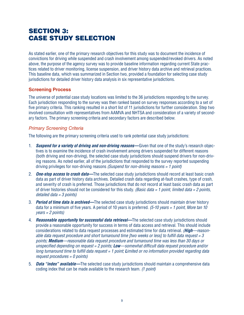## **SECTION 3:** caSE Study SELEction

As stated earlier, one of the primary research objectives for this study was to document the incidence of convictions for driving while suspended and crash involvement among suspended/revoked drivers. As noted above, the purpose of the agency survey was to provide baseline information regarding current State practices related to driver monitoring, license suspension, and driver history data archive and retrieval practices. This baseline data, which was summarized in Section two, provided a foundation for selecting case study jurisdictions for detailed driver history data analysis in six representative jurisdictions.

#### **Screening Process**

The universe of potential case study locations was limited to the 36 jurisdictions responding to the survey. Each jurisdiction responding to the survey was then ranked based on survey responses according to a set of five primary criteria. This ranking resulted in a short list of 11 jurisdictions for further consideration. Step two involved consultation with representatives from AAMVA and NHTSA and consideration of a variety of secondary factors. The primary screening criteria and secondary factors are described below.

## Primary Screening Criteria

The following are the primary screening criteria used to rank potential case study jurisdictions:

- 1. **Suspend for a variety of driving and non-driving reasons—Given that one of the study's research objec**tives is to examine the incidence of crash involvement among drivers suspended for different reasons (both driving and non-driving), the selected case study jurisdictions should suspend drivers for non-driving reasons. As noted earlier, all of the jurisdictions that responded to the survey reported suspending driving privileges for non-driving reasons *(Suspend for non-driving reasons = 1 point)*
- 2. **One-stop access to crash data—**The selected case study jurisdictions should record at least basic crash data as part of driver history data archives. Detailed crash data regarding at-fault crashes, type of crash, and severity of crash is preferred. Those jurisdictions that do not record at least basic crash data as part of driver histories should not be considered for this study. *(Basic data = 1 point, limited data = 2 points, detailed data = 3 points)*
- 3. **Period of time data is archived—**The selected case study jurisdictions should maintain driver history data for a minimum of five years. A period of 10 years is preferred. *(5-10 years = 1 point, More tan 10 years = 2 points)*
- 4. **Reasonable opportunity for successful data retrieval—**The selected case study jurisdictions should provide a reasonable opportunity for success in terms of data access and retrieval. This should include consderatons related to data request processes and estmated tme for data retreval . *(High—reasonable data request procedure and short turnaround time [two weeks or less] to fulfill data request = 3 points; Medium—reasonable data request procedure and turnaround time was less than 30 days or unspecified depending on request = 2 points; Low—somewhat difficult data request procedure and/or long turnaround time to fulfill data request = 1 point; Limited or no information provided regarding data request procedures = 0 points)*
- 5. **Data "index" available—**The selected case study jurisdictions should maintain a comprehensive data codng ndex that can be made avalable to the research team . *(1 point)*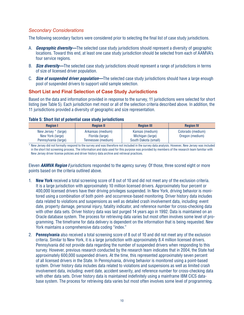## Secondary Considerations

The following secondary factors were considered prior to selecting the final list of case study jurisdictions.

- A. **Geographic diversity—**The selected case study jurisdictions should represent a diversity of geographic locations. Toward this end, at least one case study jurisdiction should be selected from each of AAMVA's four service regions.
- B. **Size diversity—**The selected case study jurisdictions should represent a range of jurisdictions in terms of size of licensed driver population.
- C. **Size of suspended driver population—**The selected case study jurisdictions should have a large enough pool of suspended drivers to support valid sample selection.

## **Short List and Final Selection of Case Study Jurisdictions**

Based on the data and information provided in response to the survey, 11 jurisdictions were selected for short listing (see Table 5). Each jurisdiction met most or all of the selection criteria described above. In addition, the 11 jurisdictions provided a diversity of geographic and size representation.

| <b>Region I</b>                                                  | <b>Region II</b>                                           | <b>Region III</b>                                           | <b>Region IV</b>                     |
|------------------------------------------------------------------|------------------------------------------------------------|-------------------------------------------------------------|--------------------------------------|
| New Jersey * (large)<br>New York (large)<br>Pennsylvania (large) | Arkansas (medium)<br>Florida (large)<br>Tennessee (medium) | Kansas (medium)<br>Michigan (large)<br>South Dakota (small) | Colorado (medium)<br>Oregon (medium) |

#### **Table 5: Short list of potential case study jurisdictions**

\* New Jersey did not formally respond to the survey and was therefore not included in the survey data analysis. However, New Jersey was included in the short list screening process. The information and data used for this purpose was provided by members of the research team familiar with New Jersey driver license policies and driver history data archive and retrieval practices.

Eleven **AAMVA Region I** jurisdictions responded to the agency survey. Of those, three scored eight or more points based on the criteria outlined above.

- 1. **New York** received a total screening score of 8 out of 10 and did not meet any of the exclusion criteria. It is a large jurisdiction with approximately 10 million licensed drivers. Approximately four percent or 400.000 licensed drivers have their driving privileges suspended. In New York, driving behavior is monitored using a combination of both point- and occurrence-based monitoring. Driver history data includes data related to violations and suspensions as well as detailed crash involvement data, including: event date, property damage, personal injury, fatality indicator, and reference number for cross-checking data with other data sets. Driver history data was last purged 14 years ago in 1992. Data is maintained on an Oracle database system. The process for retrieving data varies but most often involves some level of programming. The timeframe for data delivery is dependent on the information that is being requested. New York maintains a comprehensive data coding "index."
- 2. **Pennsylvania** also received a total screening score of 8 out of 10 and did not meet any of the exclusion criteria. Similar to New York, it is a large jurisdiction with approximately 8.4 million licensed drivers. Pennsylvania did not provide data regarding the number of suspended drivers when responding to this survey. However, previous research conducted by the research team indicates that in 2004, the State had approximately 600,000 suspended drivers. At the time, this represented approximately seven percent of all licensed drivers in the State. In Pennsylvania, driving behavior is monitored using a point-based system. Driver history data includes data related to violations and suspensions as well as limited crash involvement data, including: event date, accident severity, and reference number for cross-checking data with other data sets. Driver history data is maintained indefinitely using a mainframe IBM CICS database system. The process for retrieving data varies but most often involves some level of programming.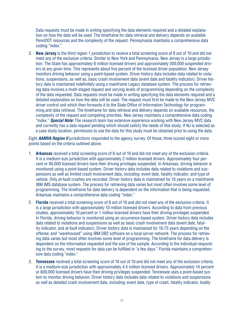Data requests must be made in writing specifying the data elements required and a detailed explanation on how the data will be used. The timeframe for data retrieval and delivery depends on available PennDOT resources and the complexity of the request. Pennsylvania maintains a comprehensive data coding "index."

3. **New Jersey** is the third region 1 jurisdiction to receive a total screening score of 8 out of 10 and did not meet any of the exclusion criteria. Similar to New York and Pennsylvania, New Jersey is a large jurisdiction. The State has approximately 6 million licensed drivers and approximately 300,000 suspended drivers at any given time. This represents about five percent of the licensed driver population. New Jersey monitors driving behavior using a point-based system. Driver history data includes data related to violations, suspensions, as well as, basic crash involvement data (event date and fatality indicator). Driver history data is maintained indefinitely using a mainframe Legacy database system. The process for retrieving data involves a multi-staged request and varying levels of programming depending on the complexity of the data requested. Data requests must be made in writing specifying the data elements required and a detailed explanation on how the data will be used. The request must first be made to the New Jersey MVC driver control unit which then forwards it to the State Office of Information Technology for programming and data retrieval. The timeframe for data retrieval and delivery depends on available resources, the complexity of the request and competing priorities. New Jersey maintains a comprehensive data coding "index." **Special Note:** The research team has extensive experience working with New Jersey MVC data and currently has a data request pending which should satisfy the needs of this study. If NJ is selected as a case study location, permission to use the data for this study must be obtained prior to using the data.

Eight **AAMVA Region II** jurisdictions responded to the agency survey. Of those, three scored eight or more points based on the criteria outlined above.

- 1. **Arkansas** received a total screening score of 8 out of 10 and did not meet any of the exclusion criteria. It is a medium-size jurisdiction with approximately 2 million licensed drivers. Approximately four percent or 90,000 licensed drivers have their driving privileges suspended. In Arkansas, driving behavior is monitored using a point-based system. Driver history data includes data related to violations and suspensions as well as limited crash involvement data, including: event date, fatality indicator, and type of vehicle. Only at-fault crashes are recorded. Driver history data is maintained for 15 years on a mainframe IBM IMS database system. The process for retrieving data varies but most often involves some level of programming. The timeframe for data delivery is dependent on the information that is being requested. Arkansas maintains a comprehensive data coding "index."
- 2. **Florida** received a total screening score of 8 out of 10 and did not meet any of the exclusion criteria. It is a large jurisdiction with approximately 10 million licensed drivers. According to data from previous studies, approximately 10 percent or 1 million licensed drivers have their driving privileges suspended. In Florida, driving behavior is monitored using an occurrence-based system. Driver history data includes data related to violations and suspensions as well as basic crash involvement data (event date, fatality indicator, and at-fault indicator). Driver history data is maintained for 10-75 years depending on the offense; and "warehoused" using IBM DB2 software on a local server network. The process for retrieving data varies but most often involves some level of programming. The timeframe for data delivery is dependent on the information requested and the size of the sample. According to the individual responding to the survey, most requests for data can be fulfilled in "a few days." Florida maintains a comprehensive data coding "index."
- 3. **Tennessee** received a total screening score of 10 out of 10 and did not meet any of the exclusion criteria. It is a medium-size jurisdiction with approximately 4.4 million licensed drivers. Approximately 14 percent or 600,000 licensed drivers have their driving privileges suspended. Tennessee uses a point-based system to monitor driving behavior. Driver history data includes data related to violations and suspensions as well as detailed crash involvement data, including: event date, type of crash, fatality indicator, bodily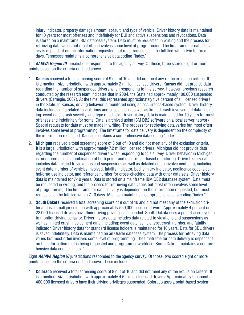injury indicator, property damage amount, at-fault, and type of vehicle. Driver history data is maintained for 10 years for most offenses and indefinitely for DUI and active suspensions and revocations. Data is stored on a mainframe IBM database system. Data must be requested in writing and the process for retrieving data varies but most often involves some level of programming. The timeframe for data delivery is dependent on the information requested, but most requests can be fulfilled within two to three days. Tennessee maintains a comprehensive data coding "index."

Ten **AAMVA Region III** jurisdictions responded to the agency survey. Of those, three scored eight or more points based on the criteria outlined above.

- 1. Kansas received a total screening score of 9 out of 10 and did not meet any of the exclusion criteria. It is a medium-size jurisdiction with approximately 2 million licensed drivers. Kansas did not provide data regarding the number of suspended drivers when responding to this survey. However, previous research conducted by the research team indicates that in 2004, the State had approximately 100,000 suspended drivers (Carnegie, 2007). At the time, this represented approximately five percent of all licensed drivers in the State. In Kansas, driving behavior is monitored using an occurrence-based system. Driver history data includes data related to violations and suspensions as well as limited crash involvement data, including: event date, crash severity, and type of vehicle. Driver history data is maintained for 10 years for most offenses and indefinitely for some. Data is archived using IBM DB2 software on a local server network. Special requests for data must be made in writing. The process for retrieving data varies but most often involves some level of programming. The timeframe for data delivery is dependent on the complexity of the information requested. Kansas maintains a comprehensive data coding "index."
- 2. Michigan received a total screening score of 8 out of 10 and did not meet any of the exclusion criteria. It is a large jurisdiction with approximately 7.2 million licensed drivers. Michigan did not provide data regarding the number of suspended drivers when responding to this survey. Driver behavior in Michigan is monitored using a combination of both point- and occurrence-based monitoring. Driver history data includes data related to violations and suspensions as well as detailed crash involvement data, including: event date, number of vehicles involved, fatality indicator, bodily injury indicator, negligence code, alcohol/drug use indicator, and reference number for cross-checking data with other data sets. Driver history data is maintained for 7-10 years. Data is stored on a mainframe IBM DB2 database system. Data must be requested in writing, and the process for retrieving data varies but most often involves some level of programming. The timeframe for data delivery is dependent on the information requested, but most requests can be fulfilled within 7-10 days. Michigan maintains a comprehensive data coding "index."
- 3. South Dakota received a total screening score of 9 out of 10 and did not meet any of the exclusion criteria. It is a small jurisdiction with approximately 550,000 licensed drivers. Approximately 4 percent or 22,000 licensed drivers have their driving privileges suspended. South Dakota uses a point-based system to monitor driving behavior. Driver history data includes data related to violations and suspensions as well as limited crash involvement data, including: event date, vehicle type, crash number, and fatality indicator. Driver history data for standard license holders is maintained for 10 years. Data for CDL drivers is saved indefinitely. Data is maintained on an Oracle database system. The process for retrieving data varies but most often involves some level of programming. The timeframe for data delivery is dependent on the information that is being requested and programmer workload. South Dakota maintains a comprehensive data coding "index."

Eight **AAMVA Region VI** jurisdictions responded to the agency survey. Of those, two scored eight or more points based on the criteria outlined above. These included:

1. Colorado received a total screening score of 8 out of 10 and did not meet any of the exclusion criteria. It is a medium-size jurisdiction with approximately 4.5 million licensed drivers. Approximately 9 percent or 400,000 licensed drivers have their driving privileges suspended. Colorado uses a point-based system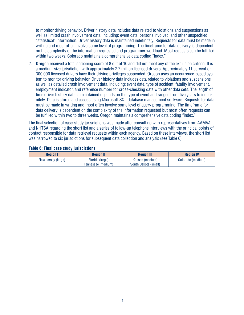to monitor driving behavior. Driver history data includes data related to violations and suspensions as well as limited crash involvement data, including: event date, persons involved, and other unspecified "statistical" information. Driver history data is maintained indefinitely. Requests for data must be made in writing and most often involve some level of programming. The timeframe for data delivery is dependent on the complexity of the information requested and programmer workload. Most requests can be fulfilled within two weeks. Colorado maintains a comprehensive data coding "index."

2. **Oregon** received a total screening score of 8 out of 10 and did not meet any of the exclusion criteria. It is a medium-size jurisdiction with approximately 2.7 million licensed drivers. Approximately 11 percent or 300,000 licensed drivers have their driving privileges suspended. Oregon uses an occurrence-based system to monitor driving behavior. Driver history data includes data related to violations and suspensions as well as detailed crash involvement data, including: event date, type of accident, fatality involvement, employment indicator, and reference number for cross-checking data with other data sets. The length of time driver history data is maintained depends on the type of event and ranges from five years to indefinitely. Data is stored and access using Microsoft SQL database management software. Requests for data must be made in writing and most often involve some level of query programming. The timeframe for data delivery is dependent on the complexity of the information requested but most often requests can be fulfilled within two to three weeks. Oregon maintains a comprehensive data coding "index."

The final selection of case-study jurisdictions was made after consulting with representatives from AAMVA and NHTSA regarding the short list and a series of follow-up telephone interviews with the principal points of contact responsible for data retrieval requests within each agency. Based on these interviews, the short list was narrowed to six jurisdictions for subsequent data collection and analysis (see Table 6).

| <b>Region I</b>    | <b>Region II</b>   | <b>Region III</b>    | <b>Region IV</b>  |  |  |  |
|--------------------|--------------------|----------------------|-------------------|--|--|--|
| New Jersey (large) | Florida (large)    | Kansas (medium)      | Colorado (medium) |  |  |  |
|                    | Tennessee (medium) | South Dakota (small) |                   |  |  |  |

#### **Table 6: Final case study jurisdictions**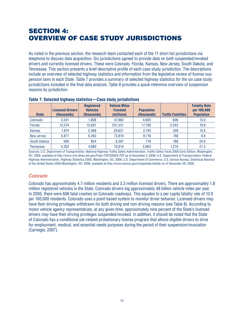# **SECTION 4:** ovErviEw of caSE Study juriSdictionS

As noted in the previous section, the research team contacted each of the 11 short list jurisdictions via telephone to discuss data acquisition. Six jurisdictions agreed to provide data on both suspended/revoked drivers and currently licensed drivers. These were Colorado, Florida, Kansas, New Jersey, South Dakota, and Tennessee. This section presents a brief descriptive profile of each case study jurisdiction. The descriptions include an overview of selected highway statistics and information from the legislative review of license suspension laws in each State. Table 7 provides a summary of selected highway statistics for the six case study jurisdictions included in the final data analysis. Table 8 provides a quick-reference overview of suspension reasons by jurisdiction.

| <b>State</b>  | <b>Licensed Drivers</b><br>(thousands) | <b>Registered</b><br><b>Vehicles</b><br>(thousands) | <b>Vehicle Miles</b><br><b>Traveled</b><br>(millions) | <b>Population</b><br>(thousands) | <b>Traffic Fatalities</b> | <b>Fatality Rate</b><br>per 100,000<br><b>Population</b> |
|---------------|----------------------------------------|-----------------------------------------------------|-------------------------------------------------------|----------------------------------|---------------------------|----------------------------------------------------------|
| Colorado      | 3.341                                  | 1.808                                               | 47,962                                                | 4,665                            | 606                       | 13.0                                                     |
| Florida       | 13.374                                 | 15.691                                              | 201.531                                               | 17.790                           | 3.543                     | 19.9                                                     |
| <b>Kansas</b> | 1.974                                  | 2,368                                               | 29,621                                                | 2.745                            | 428                       | 15.6                                                     |
| New Jersey    | 5.871                                  | 6.262                                               | 73.819                                                | 8,718                            | 748                       | 8.6                                                      |
| South Dakota  | 566                                    | 854                                                 | 8.397                                                 | 776                              | 186                       | 24.0                                                     |
| Tennessee     | 4.352                                  | 4.980                                               | 70.814                                                | 5.963                            | 1.270                     | 21.3                                                     |

#### **Table 7: Selected highway statistics—Case study jurisdictions**

Sources: U.S. Department of Transportation, National Highway Traffic Safety Administration, Traffic Safety Facts 2005 Early Edition, Washington, DC: 2006, available at http://www-nrd.nhtsa.dot.gov/Pubs/TSF2005EE.PDF as of December 5, 2006; U.S. Department of Transportation, Federal Highway Administration, Highway Statistics 2005, Washington, DC: 2006; U.S. Department of Commerce, U.S. Census Bureau, Statistical Abstract of the Unted States 2006 Washngton, DC: 2006, avalable at http://www .census .gov/compenda/statab/ as of December 26, 2006 .

## Colorado

Colorado has approximately 4.7 million residents and 3.3 million licensed drivers. There are approximately 1.8 million registered vehicles in the State. Colorado drivers log approximately 48 billion vehicle miles per year. In 2005, there were 606 fatal crashes on Colorado roadways. This equates to a per capita fatality rate of 13.0 per 100,000 residents. Colorado uses a point-based system to monitor driver behavior. Licensed drivers may have their driving privileges withdrawn for both driving and non-driving reasons (see Table 8). According to motor vehicle agency representatives, at any given time, approximately nine percent of the State's licensed drivers may have their driving privileges suspended/revoked. In addition, it should be noted that the State of Colorado has a conditional job-related probationary license program that allows eligible drivers to drive for employment, medical, and essential needs purposes during the period of their suspension/revocation (Carnegie, 2007).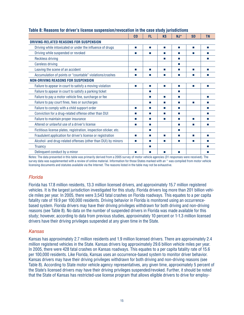|                                                                   | C <sub>0</sub>   | FL.              | KS | $NJ^*$ | <b>SD</b>         | <b>TN</b>                   |
|-------------------------------------------------------------------|------------------|------------------|----|--------|-------------------|-----------------------------|
| DRIVING-RELATED REASONS FOR SUSPENSION                            |                  |                  |    |        |                   |                             |
| Driving while intoxicated or under the influence of drugs         | ш                | <b>The State</b> | T. | п      | m.                | T.                          |
| Driving while suspended or revoked                                | <b>The State</b> | п                | T. | п      | m.                | <b>The State</b>            |
| <b>Reckless driving</b>                                           |                  |                  | T. | ш      |                   | <b>The State</b>            |
| <b>Careless driving</b>                                           |                  |                  |    | ш      |                   |                             |
| Leaving the scene of an accident                                  | ш                | п                | T. | п      | m.                | T.                          |
| Accumulation of points or "countable" violations/crashes          | ш                | ш                | m. | ш      | m.                | <b>The State</b>            |
| <b>NON-DRIVING REASONS FOR SUSPENSION</b>                         |                  |                  |    |        |                   |                             |
| Failure to appear in court to satisfy a moving violation          | п                | п                | п  | п      | m.                | T.                          |
| Failure to appear in court to satisfy a parking ticket            |                  | п                |    | п      |                   |                             |
| Failure to pay a motor vehicle fine, surcharge or fee             |                  | m.               | ш  | ш      |                   | $\mathcal{C}^{\mathcal{A}}$ |
| Failure to pay court fines, fees or surcharges                    |                  | п                | T. | п      | m.                | T.                          |
| Failure to comply with a child support order                      | ш                | п                | п  | п      |                   | <b>COL</b>                  |
| Conviction for a drug-related offense other than DUI              | m.               | ш                | T. | ш      |                   | $\mathcal{C}^{\mathcal{A}}$ |
| Failure to maintain proper insurance                              | <b>The State</b> | <b>The State</b> | m. | ш      | <b>The Second</b> | <b>The State</b>            |
| Altered or unlawful use of a driver's license                     | m.               | m.               |    | ш      | m.                | T                           |
| Fictitious license plates, registration, inspection sticker, etc. |                  | П                |    | ш      |                   |                             |
| Fraudulent application for driver's license or registration       | ш                | п                | m. | п      | m.                | <b>COL</b>                  |
| Alcohol- and drug-related offenses (other than DUI) by minors     | ш                | m.               | T. | ш      | m.                | <b>The State</b>            |
| <b>Truancy</b>                                                    |                  | ш                |    |        |                   | ш                           |
| Delinquent conduct by a minor                                     |                  | ш                | ш  | п      |                   |                             |

#### **Table 8: Reasons for driver's license suspension/revocation in the case study jurisdictions**

Notes: The data presented in this table was primarily derived from a 2005 survey of motor vehicle agencies (31 responses were received). The survey data was supplemented with a review of online material. Information for those States marked with an \* was compiled from motor vehicle licensing documents and statutes available via the Internet. The reasons listed in the table may not be exhaustive.

## Florida

Florida has 17.8 million residents, 13.3 million licensed drivers, and approximately 15.7 million registered vehicles. It is the largest jurisdiction investigated for this study. Florida drivers log more than 201 billion vehicle miles per year. In 2005, there were 3,543 fatal crashes on Florida roadways. This equates to a per capita fatality rate of 19.9 per 100,000 residents. Driving behavior in Florida is monitored using an occurrencebased system. Florida drivers may have their driving privileges withdrawn for both driving and non-driving reasons (see Table 8). No data on the number of suspended drivers in Florida was made available for this study; however, according to data from previous studies, approximately 10 percent or 1-1.3 million licensed drivers have their driving privileges suspended at any given time in the State.

## Kansas

Kansas has approximately 2.7 million residents and 1.9 million licensed drivers. There are approximately 2.4 million registered vehicles in the State. Kansas drivers log approximately 29.6 billion vehicle miles per year. In 2005, there were 428 fatal crashes on Kansas roadways. This equates to a per capita fatality rate of 15.6 per 100,000 residents. Like Florida, Kansas uses an occurrence-based system to monitor driver behavior. Kansas drivers may have their driving privileges withdrawn for both driving and non-driving reasons (see Table 8). According to State motor vehicle agency representatives, any given time, approximately 5 percent of the State's licensed drivers may have their driving privileges suspended/revoked. Further, it should be noted that the State of Kansas has restricted-use license program that allows eligible drivers to drive for employ-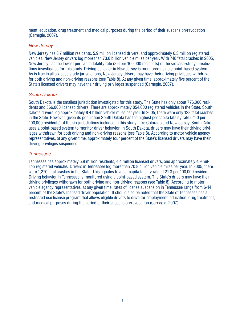ment, education, drug treatment and medical purposes during the period of their suspension/revocation (Carnegie, 2007).

#### New Jersey

New Jersey has 8.7 million residents, 5.9 million licensed drivers, and approximately 6.3 million registered vehicles. New Jersey drivers log more than 73.8 billion vehicle miles per year. With 748 fatal crashes in 2005, New Jersey has the lowest per capita fatality rate (8.6 per 100,000 residents) of the six case-study jurisdictions investigated for this study. Driving behavior in New Jersey is monitored using a point-based system. As is true in all six case study jurisdictions, New Jersey drivers may have their driving privileges withdrawn for both driving and non-driving reasons (see Table 8). At any given time, approximately five percent of the State's licensed drivers may have their driving privileges suspended (Carnegie, 2007).

#### South Dakota

South Dakota is the smallest jurisdiction investigated for this study. The State has only about 776,000 residents and 566,000 licensed drivers. There are approximately 854,000 registered vehicles in the State. South Dakota drivers log approximately 8.4 billion vehicle miles per year. In 2005, there were only 128 fatal crashes in the State. However, given its population South Dakota has the highest per capita fatality rate (24.0 per 100,000 residents) of the six jurisdictions included in this study. Like Colorado and New Jersey, South Dakota uses a point-based system to monitor driver behavior. In South Dakota, drivers may have their driving privileges withdrawn for both driving and non-driving reasons (see Table 8). According to motor vehicle agency representatives, at any given time, approximately four percent of the State's licensed drivers may have their driving privileges suspended.

#### Tennessee

Tennessee has approximately 5.9 million residents, 4.4 million licensed drivers, and approximately 4.9 million registered vehicles. Drivers in Tennessee log more than 70.8 billion vehicle miles per year. In 2005, there were 1,270 fatal crashes in the State. This equates to a per capita fatality rate of 21.3 per 100,000 residents. Driving behavior in Tennessee is monitored using a point-based system. The State's drivers may have their driving privileges withdrawn for both driving and non-driving reasons (see Table 8). According to motor vehicle agency representatives, at any given time, rates of license suspension in Tennessee range from 6-14 percent of the State's licensed driver population. It should also be noted that the State of Tennessee has a restricted use license program that allows eligible drivers to drive for employment, education, drug treatment, and medical purposes during the period of their suspension/revocation (Carnegie, 2007).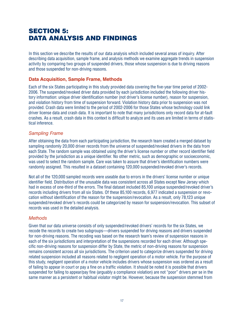# **SECTION 5:** data anaLySiS and findingS

In this section we describe the results of our data analysis which included several areas of inquiry. After describing data acquisition, sample frame, and analysis methods we examine aggregate trends in suspension activity by comparing two groups of suspended drivers, those whose suspension is due to driving reasons and those suspended for non-driving reasons.

#### **Data Acquisition, Sample Frame, Methods**

Each of the six States participating in this study provided data covering the five-year time period of 2002-2006. The suspended/revoked driver data provided by each jurisdiction included the following driver history information: unique driver identification number (not driver's license number), reason for suspension, and violation history from time of suspension forward. Violation history data prior to suspension was not provided. Crash data were limited to the period of 2002-2006 for those States whose technology could link driver license data and crash data. It is important to note that many jurisdictions only record data for at-fault crashes. As a result, crash data in this context is difficult to analyze and its uses are limited in terms of statistical inference.

#### Sampling Frame

After obtaining the data from each participating jurisdiction, the research team created a merged dataset by sampling randomly 20,000 driver records from the universe of suspended/revoked drivers in the data from each State. The random sample was obtained using the driver's license number or other record identifier field provided by the jurisdiction as a unique identifier. No other metric, such as demographic or socioeconomic, was used to select the random sample. Care was taken to assure that driver's identification numbers were randomly assigned. This resulted in a dataset containing 120,000 suspended/revoked driver's records.

Not all of the 120,000 sampled records were useable due to errors in the drivers' license number or unique identifier field. Distribution of the unusable data was consistent across all States except New Jersey which had in excess of one-third of the errors. The final dataset included 85,100 unique suspended/revoked driver's records including drivers from all six States. Of these 85,100 records, 6,977 indicated a suspension or revocation without identification of the reason for the suspension/revocation. As a result, only 78,123 unique suspended/revoked driver's records could be categorized by reason for suspension/revocation. This subset of records was used in the detailed analysis.

## **Methods**

Given that our data universe consists of only suspended/revoked drivers' records for the six States, we recode the records to create two subgroups—drivers suspended for driving reasons and drivers suspended for non-driving reasons. The recoding was based on the research team's review of suspension reasons in each of the six jurisdictions and interpretation of the suspensions recorded for each driver. Although specific non-driving reasons for suspension differ by State, the metric of non-driving reasons for suspension remains consistent across all six jurisdictions. The criterion used to categorize drivers suspended for driving related suspension included all reasons related to negligent operation of a motor vehicle. For the purpose of this study, negligent operation of a motor vehicle includes drivers whose suspension was ordered as a result of failing to appear in court or pay a fine on a traffic violation. It should be noted it is possible that drivers suspended for failing to appear/pay fine (arguably a compliance violation) are not "poor" drivers per se in the same manner as a persistent or habitual violator might be. However, because the suspension stemmed from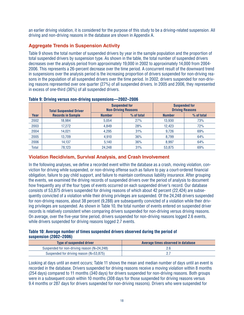an earlier driving violation, it is considered for the purpose of this study to be a driving-related suspension. All driving and non-driving reasons in the database are shown in Appendix A.

## **Aggregate Trends in Suspension Activity**

Table 9 shows the total number of suspended drivers by year in the sample population and the proportion of total suspended drivers by suspension type. As shown in the table, the total number of suspended drivers decreases over the analysis period from approximately 19,000 in 2002 to approximately 14,000 from 2004-2006. This represents a 26-percent decrease over the time period. A concurrent result of the downward trend in suspensions over the analysis period is the increasing proportion of drivers suspended for non-driving reasons in the population of all suspended drivers over the time period. In 2002, drivers suspended for non-driving reasons represented over one quarter (27%) of all suspended drivers. In 2005 and 2006, they represented in excess of one-third (36%) of all suspended drivers.

|       | <b>Total Suspended Driver</b> |               | <b>Suspended for</b><br><b>Non-Driving Reasons</b> |               | <b>Suspended for</b><br><b>Driving Reasons</b> |
|-------|-------------------------------|---------------|----------------------------------------------------|---------------|------------------------------------------------|
| Year  | <b>Records in Sample</b>      | <b>Number</b> | $%$ of total                                       | <b>Number</b> | % of total                                     |
| 2002  | 18.984                        | 5.054         | 27%                                                | 13.930        | 73%                                            |
| 2003  | 17.272                        | 4,849         | 28%                                                | 12.423        | 72%                                            |
| 2004  | 14.021                        | 4,295         | 31%                                                | 9.726         | 69%                                            |
| 2005  | 13,709                        | 4,910         | 36%                                                | 8.799         | 64%                                            |
| 2006  | 14.137                        | 5.140         | 36%                                                | 8.997         | 64%                                            |
| Total | 78.123                        | 24.248        | 31%                                                | 53.875        | 69%                                            |

**Table 9: Driving versus non-driving suspensions—2002–2006**

## **Violation recidivism, Survival Analysis, and Crash Involvement**

In the following analyses, we define a recorded event within the database as a crash, moving violation, conviction for driving while suspended, or non-driving offense such as failure to pay a court-ordered financial obligation, failure to pay child support, and failure to maintain continuous liability insurance. After grouping the events, we examined the driving records of suspended drivers over the period of analysis to document how frequently any of the four types of events occurred on each suspended driver's record. Our database consists of 53,875 drivers suspended for driving reasons of which about 42 percent (22,424) are subsequently convicted of a violation while their driving privileges are suspended. Of the 24,248 drivers suspended for non-driving reasons, about 38 percent (9,288) are subsequently convicted of a violation while their driving privileges are suspended. As shown in Table 10, the total number of events entered on suspended driver records is relatively consistent when comparing drivers suspended for non-driving versus driving reasons. On average, over the five-year time period, drivers suspended for non-driving reasons logged 2.6 events, while drivers suspended for driving reasons logged 2.7 events.

#### **Table 10: Average number of times suspended drivers observed during the period of suspension (2002–2006)**

| <b>Type of suspended driver</b>             | Average times observed in database |
|---------------------------------------------|------------------------------------|
| Suspended for non-driving reason (N=24,248) |                                    |
| Suspended for driving reason (N=53,875)     |                                    |

Looking at days until an event occurs; Table 11 shows the mean and median number of days until an event is recorded in the database. Drivers suspended for driving reasons receive a moving violation within 8 months (254 days) compared to 11 months (340 days) for drivers suspended for non-driving reasons. Both groups were in a subsequent crash within 10 months (308 days for those suspended for driving reasons versus 9.4 months or 287 days for drivers suspended for non-driving reasons). Drivers who were suspended for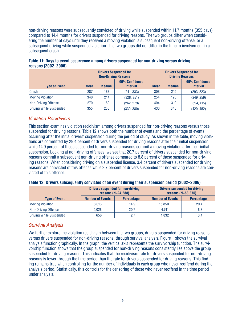non-driving reasons were subsequently convicted of driving while suspended within 11.7 months (355 days) compared to 14.4 months for drivers suspended for driving reasons. The two groups differ when considering the number of days until they received a moving violation, a subsequent non-driving offense, or a subsequent driving while suspended violation. The two groups did not differ in the time to involvement in a subsequent crash.

|                                |                                                                   | <b>Non-Driving Reasons</b> | <b>Drivers Suspended for</b> | <b>Drivers Suspended for</b><br><b>Driving Reasons</b> |                                   |            |  |
|--------------------------------|-------------------------------------------------------------------|----------------------------|------------------------------|--------------------------------------------------------|-----------------------------------|------------|--|
| <b>Type of Event</b>           | 95% Confidence<br><b>Median</b><br><b>Mean</b><br><b>Interval</b> |                            | <b>Mean</b>                  | <b>Median</b>                                          | 95% Confidence<br><b>Interval</b> |            |  |
| Crash                          | 287                                                               | 187                        | (241, 333)                   | 308                                                    | 215                               | (293, 323) |  |
| <b>Moving Violation</b>        | 340                                                               | 214                        | (328, 351)                   | 254                                                    | 128                               | (249, 259) |  |
| Non-Driving Offense            | 270                                                               | 160                        | (262, 279)                   | 404                                                    | 319                               | (394, 415) |  |
| <b>Driving While Suspended</b> | 355                                                               | 258                        | (330, 380)                   | 436                                                    | 348                               | (420, 452) |  |

**Table 11: Days to event occurrence among drivers suspended for non-driving versus driving reasons (2002–2006)**

#### Violation Recidivism

This section examines violation recidivism among drivers suspended for non-driving reasons versus those suspended for driving reasons. Table 12 shows both the number of events and the percentage of events occurring after the initial drivers' suspension during the period of study. As shown in the table, moving violations are committed by 29.4 percent of drivers suspended for driving reasons after their initial suspension while 14.9 percent of those suspended for non-driving reasons commit a moving violation after their initial suspension. Looking at non-driving offenses, we see that 20.7 percent of drivers suspended for non-driving reasons commit a subsequent non-driving offense compared to 8.8 percent of those suspended for driving reasons. When considering driving on a suspended license, 3.4 percent of drivers suspended for driving reasons are convicted of this offense while 2.7 percent of drivers suspended for non-driving reasons are convicted of this offense.

|                                | reasons $(N=24, 288)$                        | <b>Drivers suspended for non-driving</b> |                         | <b>Drivers suspended for driving</b><br>reasons $(N=53,875)$ |
|--------------------------------|----------------------------------------------|------------------------------------------|-------------------------|--------------------------------------------------------------|
| <b>Type of Event</b>           | <b>Number of Events</b><br><b>Percentage</b> |                                          | <b>Number of Events</b> | <b>Percentage</b>                                            |
| <b>Moving Violation</b>        | 3.613                                        | 14.9                                     | 15.850                  | 29.4                                                         |
| Non-Driving Offense            | 5.028                                        | 20.7                                     | 4.741                   | 8.8                                                          |
| <b>Driving While Suspended</b> | 656                                          | 27                                       | 1.832                   | 3.4                                                          |

**Table 12: Drivers subsequently convicted of an event during their suspension period (2002–2006)**

## Survival Analysis

We further explore the violation recidivism between the two groups, drivers suspended for driving reasons versus drivers suspended for non-driving reasons, through survival analysis. Figure 1 shows the survival analysis function graphically. In the graph, the vertical axis represents the survivorship function. The survivorship function shows that the group suspended for non-driving reasons consistently lies above the group suspended for driving reasons. This indicates that the recidivism rate for drivers suspended for non-driving reasons is lower through the time period than the rate for drivers suspended for driving reasons. This finding remains true when controlling for the number of individuals in each group who never reoffend during the analysis period. Statistically, this controls for the censoring of those who never reoffend in the time period under analysis.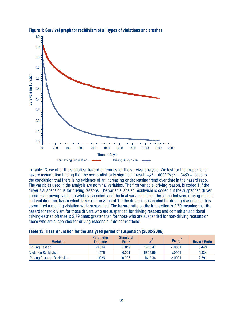

#### **Figure 1: Survival graph for recidivism of all types of violations and crashes**

In Table 13, we offer the statistical hazard outcomes for the survival analysis. We test for the proportional hazard assumption finding that the non-statistically significant result  $-\chi^2$  = .8883 Pr $\chi^2$  = .3459 – leads to the conclusion that there is no evidence of an increasing or decreasing trend over time in the hazard ratio. The variables used in the analysis are nominal variables. The first variable, driving reason, is coded 1 if the driver's suspension is for driving reasons. The variable labeled recidivism is coded 1 if the suspended driver commits a moving violation while suspended, and the final variable is the interaction between driving reason and violation recidivism which takes on the value of 1 if the driver is suspended for driving reasons and has committed a moving violation while suspended. The hazard ratio on the interaction is 2.79 meaning that the hazard for recidivism for those drivers who are suspended for driving reasons and commit an additional driving-related offense is 2.79 times greater than for those who are suspended for non-driving reasons or those who are suspended for driving reasons but do not reoffend.

| Table 13: Hazard function for the analyzed period of suspension (2002-2006) |  |  |  |
|-----------------------------------------------------------------------------|--|--|--|
|-----------------------------------------------------------------------------|--|--|--|

| <b>Variable</b>             | <b>Parameter</b><br><b>Estimate</b> | <b>Standard</b><br><b>Error</b> | $\sim^2$ | Pr> $\chi^2$ | <b>Hazard Ratio</b> |
|-----------------------------|-------------------------------------|---------------------------------|----------|--------------|---------------------|
| <b>Driving Reason</b>       | $-0.814$                            | 0.019                           | 1906.47  | &0.001       | 0.443               |
| <b>Violation Recidivism</b> | 1.576                               | 0.021                           | 5806.66  | &0.001       | 4.834               |
| Driving Reason* Recidivism  | 1.026                               | 0.026                           | 1612.34  | < 0001       | 2.791               |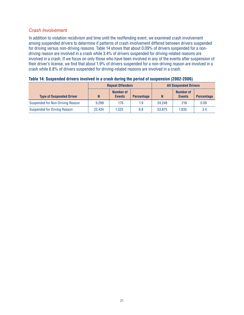#### Crash Involvement

In addition to violation recidivism and time until the reoffending event, we examined crash involvement among suspended drivers to determine if patterns of crash involvement differed between drivers suspended for driving versus non-driving reasons. Table 14 shows that about 0.09% of drivers suspended for a nondriving reason are involved in a crash while 3.4% of drivers suspended for driving-related reasons are involved in a crash. If we focus on only those who have been involved in any of the events after suspension of their driver's license, we find that about 1.9% of drivers suspended for a non-driving reason are involved in a crash while 6.8% of drivers suspended for driving-related reasons are involved in a crash.

|                                     | <b>Repeat Offenders</b> |                                   |                   |        | <b>All Suspended Drivers</b> |                   |
|-------------------------------------|-------------------------|-----------------------------------|-------------------|--------|------------------------------|-------------------|
| <b>Type of Suspended Driver</b>     | N                       | <b>Number of</b><br><b>Events</b> | <b>Percentage</b> | N      | Number of<br><b>Events</b>   | <b>Percentage</b> |
| Suspended for Non-Driving Reason    | 9.288                   | 176                               | 1.9               | 24.248 | 218                          | 0.09              |
| <b>Suspended for Driving Reason</b> | 22.424                  | 1.525                             | 6.8               | 53.875 | 1.835                        | 3.4               |

| Table 14: Suspended drivers involved in a crash during the period of suspension (2002-2006) |  |  |
|---------------------------------------------------------------------------------------------|--|--|
|                                                                                             |  |  |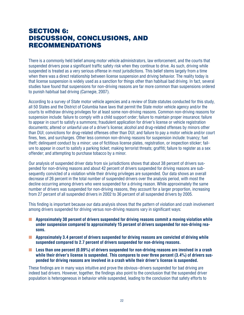## **SECTION 6:** diScuSSion, concLuSionS, and **RECOMMENDATIONS**

There is a commonly held belief among motor vehicle administrators, law enforcement, and the courts that suspended drivers pose a significant traffic safety risk when they continue to drive. As such, driving while suspended is treated as a very serious offense in most jurisdictions. This belief stems largely from a time when there was a direct relationship between license suspension and driving behavior. The reality today is that license suspension is widely used as a sanction for things other than habitual bad driving. In fact, several studies have found that suspensions for non-driving reasons are far more common than suspensions ordered to punish habitual bad driving (Carnegie, 2007).

According to a survey of State motor vehicle agencies and a review of State statutes conducted for this study, all 50 States and the District of Columbia have laws that permit the State motor vehicle agency and/or the courts to withdraw driving privileges for at least some non-driving reasons. Common non-driving reasons for suspension include: failure to comply with a child support order; failure to maintain proper insurance; failure to appear in court to satisfy a summons; fraudulent application for driver's license or vehicle registration documents; altered or unlawful use of a driver's license; alcohol and drug-related offenses by minors other than DUI; convictions for drug-related offenses other than DUI; and failure to pay a motor vehicle and/or court fines, fees, and surcharges. Other less common non-driving reasons for suspension include: truancy; fuel theft; delinquent conduct by a minor; use of fictitious license plates, registration, or inspection sticker; failure to appear in court to satisfy a parking ticket; making terrorist threats; graffiti; failure to register as a sex offender; and attempting to purchase tobacco by a minor.

Our analysis of suspended driver data from six jurisdictions shows that about 38 percent of drivers suspended for non-driving reasons and about 42 percent of drivers suspended for driving reasons are subsequently convicted of a violation while their driving privileges are suspended. Our data shows an overall decrease of 26 percent in the total number of suspended drivers over the analysis period, with most the decline occurring among drivers who were suspended for a driving reason. While approximately the same number of drivers was suspended for non-driving reasons, they account for a larger proportion, increasing from 27 percent of all suspended drivers in 2002 to 36 percent of all suspended drivers by 2005.

This finding is important because our data analysis shows that the pattern of violation and crash involvement among drivers suspended for driving versus non-driving reasons vary in significant ways:

- **Approximately 30 percent of drivers suspended for driving reasons commit a moving violation while under suspension compared to approximately 15 percent of drivers suspended for non-driving reasons.**
- **Approximately 3.4 percent of drivers suspended for driving reasons are convicted of driving while suspended compared to 2.7 percent of drivers suspended for non-driving reasons.**
- **Less than one percent (0.09%) of drivers suspended for non-driving reasons are involved in a crash while their driver's license is suspended. This compares to over three percent (3.4%) of drivers suspended for driving reasons are involved in a crash while their driver's license is suspended.**

These findings are in many ways intuitive and prove the obvious–drivers suspended for bad driving are indeed bad drivers. However, together, the findings also point to the conclusion that the suspended driver population is heterogeneous in behavior while suspended, leading to the conclusion that safety efforts to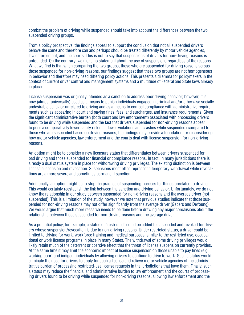combat the problem of driving while suspended should take into account the differences between the two suspended driving groups.

From a policy prospective, the findings appear to support the conclusion that not all suspended drivers behave the same and therefore can and perhaps should be treated differently by motor vehicle agencies, law enforcement, and the courts. This is not to say that suspensions of drivers for non-driving reasons is unfounded. On the contrary, we make no statement about the use of suspensions regardless of the reasons. What we find is that when comparing the two groups, those who are suspended for driving reasons versus those suspended for non-driving reasons, our findings suggest that these two groups are not homogeneous in behavior and therefore may need differing policy actions. This presents a dilemma for policymakers in the context of current drver control and management systems and a multtude of Federal and State laws already in place.

License suspension was originally intended as a sanction to address poor driving behavior; however, it is now (almost universally) used as a means to punish individuals engaged in criminal and/or otherwise socially undesirable behavior unrelated to driving and as a means to compel compliance with administrative requirements such as appearing in court and paying fines, fees, and surcharges, and insurance requirements. Given the significant administrative burden (both court and law enforcement) associated with processing drivers found to be driving while suspended and the fact that drivers suspended for non-driving reasons appear to pose a comparatively lower safety risk (i.e., fewer violations and crashes while suspended) compared to those who are suspended based on driving reasons, the findings may provide a foundation for reconsidering how motor vehicle agencies, law enforcement and the courts deal with license suspension for non-driving reasons.

An option might be to consider a new licensure status that differentiates between drivers suspended for bad driving and those suspended for financial or compliance reasons. In fact, in many jurisdictions there is already a dual status system in place for withdrawing driving privileges. The existing distinction is between license suspension and revocation. Suspensions most often represent a temporary withdrawal while revocations are a more severe and sometimes permanent sanction.

Additionally, an option might be to stop the practice of suspending licenses for things unrelated to driving. This would certainly reestablish the link between the sanction and driving behavior. Unfortunately, we do not know the relationship in our study between suspended for non-driving reasons and the average driver (not suspended). This is a limitation of the study, however we note that previous studies indicate that those suspended for non-driving reasons may not differ significantly from the average driver (Gebers and DeYoung). We would argue that much more research needs to be done before drawing any major conclusions about the relationship between those suspended for non-driving reasons and the average driver.

As a potential policy, for example, a status of "restricted" could be added to suspended and revoked for drivers whose suspension/revocation is due to non-driving reasons. Under restricted status, a driver could be limited to driving for work, workforce training and medical purposes, similar to the restricted use, occupational or work license programs in place in many States. The withdrawal of some driving privileges would likely retain much of the deterrent or coercive effect that the threat of license suspension currently provides. At the same time it may limit the economic impact of license suspension on those unable to pay fines (e.g., working poor) and indigent individuals by allowing drivers to continue to drive to work. Such a status would eliminate the need for drivers to apply for such a license and relieve motor vehicle agencies of the administrative burden of processing restricted-use license requests in the jurisdictions that have them. Finally, such a status may reduce the financial and administrative burden to law enforcement and the courts of processing drivers found to be driving while suspended for non-driving reasons, allowing law enforcement and the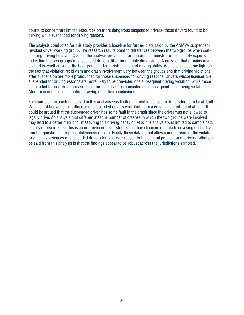courts to concentrate limited resources on more dangerous suspended drivers–those drivers found to be driving while suspended for driving reasons.

The analysis conducted for this study provides a baseline for further discussion by the AAMVA suspended/ revoked driver working group. The research results point to differences between the two groups when considering driving behavior. Overall, the analysis provides information to administrators and safety experts indicating the two groups of suspended drivers differ on multiple dimensions. A question that remains unanswered is whether or not the two groups differ in risk-taking and driving ability. We have shed some light on the fact that violation recidivism and crash involvement vary between the groups and that driving violations after suspension are more pronounced for those suspended for driving reasons. Drivers whose licenses are suspended for driving reasons are more likely to be convicted of a subsequent driving violation, while those suspended for non-driving reasons are more likely to be convicted of a subsequent non-driving violation. More research is needed before drawing definitive conclusions.

For example, the crash data used in this analysis was limited in most instances to drivers found to be at-fault. What is not known is the influence of suspended drivers contributing to a crash when not found at fault. It could be argued that the suspended driver has some fault in the crash since the driver was not allowed to legally drive. An analysis that differentiates the number of crashes in which the two groups were involved may lead to a better metric for measuring this driving behavior. Also, the analysis was limited to sample data from six jurisdictions. This is an improvement over studies that have focused on data from a single jurisdiction but questions of representativeness remain. Finally these data do not allow a comparison of the violation or crash experiences of suspended drivers for whatever reason to the general population of drivers. What can be said from this analysis is that the findings appear to be robust across the jurisdictions sampled.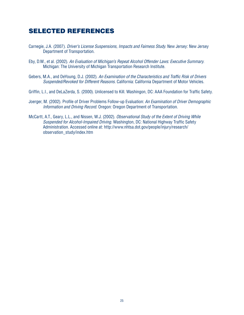## SELEctEd rEfErEncES

- Carnegie, J.A. (2007). *Driver's License Suspensions, Impacts and Fairness Study.* New Jersey: New Jersey Department of Transportation.
- Eby, D .W ., et al . (2002) . *An Evaluation of Michigan's Repeat Alcohol Offender Laws: Executive Summary.* Michigan: The University of Michigan Transportation Research Institute.
- Gebers, M.A., and DeYoung, D.J. (2002). An Examination of the Characteristics and Traffic Risk of Drivers *Suspended/Revoked for Different Reasons.* California: California Department of Motor Vehicles.
- Griffin, L.I., and DeLaZerda, S. (2000). Unlicensed to Kill. Washingon, DC: AAA Foundation for Traffic Safety.
- Joerger, M . (2002) . Profile of Drver Problems Follow-up Evaluaton: *An Examination of Driver Demographic Information and Driving Record.* Oregon: Oregon Department of Transportation.
- McCartt, A.T., Geary, L.L., and Nissen, W.J. (2002). *Observational Study of the Extent of Driving While Suspended for Alcohol-Impaired Driving.* Washington, DC: National Highway Traffic Safety Administration. Accessed online at: http://www.nhtsa.dot.gov/people/injury/research/ observation\_study/index.htm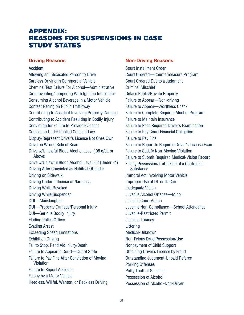## **APPENDIX: REASONS FOR SUSPENSIONS IN CASE STUDY STATES**

#### **Driving Reasons**

#### **Accident**

Allowing an Intoxicated Person to Drive **Careless Driving In Commercial Vehicle Chemical Test Failure For Alcohol-Administrative** Circumventing/Tampering With Ignition Interrupter Consuming Alcohol Beverage in a Motor Vehicle **Contest Racing on Public Trafficway Contributing to Accident Involving Property Damage** Contributing to Accident Resulting in Bodily Injury **Conviction for Failure to Provide Evidence Conviction Under Implied Consent Law** Display/Represent Driver's License Not Ones Own Drive on Wrong Side of Road Drive w/Unlawful Blood Alcohol Level (.08 g/dL or Above) Drive w/Unlawful Blood Alcohol Level .02 (Under 21) Driving After Convicted as Habitual Offender Driving on Sidewalk **Driving Under Influence of Narcotics Driving While Revoked Driving While Suspended DUI-Manslaughter DUI-Property Damage/Personal Injury DUI-Serious Bodily Injury Eluding Police Officer Evading Arrest Exceeding Speed Limitations Exhibition Driving** Fail to Stop, Rend Aid Injury/Death Failure to Appear in Court-Out of State Failure to Pay Fine After Conviction of Moving Violation **Failure to Report Accident** Felony by a Motor Vehicle Heedless, Willful, Wanton, or Reckless Driving

#### **Non-Driving Reasons**

**Court Installment Order** Court Ordered-Countermeasure Program Court Ordered Due to a Judgment **Criminal Mischief** Deface Public/Private Property Failure to Appear-Non-driving **Failure to Appear-Worthless Check Failure to Complete Required Alcohol Program Failure to Maintain Insurance Failure to Pass Required Driver's Examination Failure to Pay Court Financial Obligation Failure to Pav Fine** Failure to Report to Required Driver's License Exam **Failure to Satisfy Non-Moving Violation** Failure to Submit Required Medical/Vision Report Felony Possession/Trafficking of a Controlled **Substance Immoral Act Involving Motor Vehicle** Improper Use of DL or ID Card **Inadequate Vision** Juvenile Alcohol Offense-Minor Juvenile Court Action Juvenile Non-Compliance-School Attendance Juvenile-Restricted Permit Juvenile-Truancy Littering Medical-Unknown Non-Felony Drug Possession/Use Nonpayment of Child Support **Obtaining Driver's License by Fraud Outstanding Judgment-Unpaid Referee Parking Offenses Petty Theft of Gasoline** Possession of Alcohol Possession of Alcohol-Non-Driver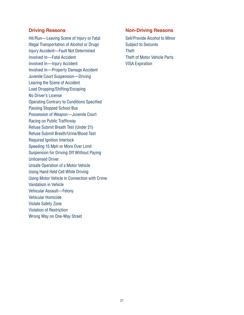## **Driving Reasons**

Hit/Run-Leaving Scene of Injury or Fatal Illegal Transportation of Alcohol or Drugs Injury Accident-Fault Not Determined Involved In-Fatal Accident Involved In-Injury Accident **Involved In-Property Damage Accident** Juvenile Court Suspension-Driving Leaving the Scene of Accident Load Dropping/Shifting/Escaping No Driver's License **Operating Contrary to Conditions Specified Passing Stopped School Bus** Possession of Weapon-Juvenile Court Racing on Public Trafficway Refuse Submit Breath Test (Under 21) Refuse Submit Breath/Urine/Blood Test **Required Ignition Interlock** Speeding 15 Mph or More Over Limit Suspension for Driving Off Without Paying **Unlicensed Driver Unsafe Operation of a Motor Vehicle** Using Hand Held Cell While Driving Using Motor Vehicle in Connection with Crime Vandalism in Vehicle **Vehicular Assault-Felony** Vehicular Homicide **Violate Safety Zone Violation of Restriction** Wrong Way on One-Way Street

## **Non-Driving Reasons**

Sell/Provide Alcohol to Minor **Subject to Seizures Theft Theft of Motor Vehicle Parts VISA Expiration**